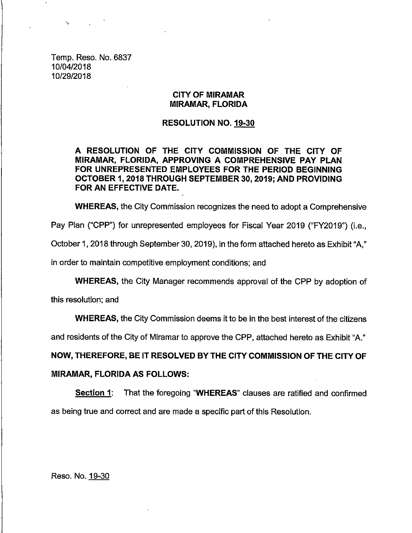**Temp. Reso. No. 6837 10/04/2018 10/29/2018**

 $\mathbf{v}_\mathrm{p}$  .

#### **CITY OF MIRAMAR MIRAMAR, FLORIDA**

#### **RESOLUTION NO. 19-30**

**A RESOLUTION OF THE CITY COMMISSION OF THE CITY OF MIRAMAR, FLORIDA, APPROVING A COMPREHENSIVE PAY PLAN FOR UNREPRESENTED EMPLOYEES FOR THE PERIOD BEGINNING OCTOBER 1, 2018 THROUGH SEPTEMBER 30, 2019; AND PROVIDING FOR AN EFFECTIVE DATE.**

**WHEREAS, the City Comniission recognizes the need to adopt a Comprehensive**

**Pay Plan ("CPP") for unrepresented employees for Fiscal Year 2019 ("FY2019") (i.e.,**

**October 1, 2018 through September 30, 2019), inthe form attached hereto as Exhibit"A,"**

**in order to maintain competitive employment conditions; and**

**WHEREAS, the City Manager recommends approval of the CPP by adoption of**

**thisresolution;and**

**WHEREAS, the City Commission deems itto be inthe best interestof the citizens**

**and residents of the City of Miramar to approve the CPP, attached hereto as Exhibit "A."**

**NOW, THEREFORE, BE IT RESOLVED BY THE CITY COMMISSION OF THE CITY OF**

#### **MIRAMAR, FLORIDA AS FOLLOWS:**

**Section 1: That the foregoing "WHEREAS" clauses are ratifiedand confirmed as being true and correct and are made a specificpart of thisResolution.**

**Reso. No. 19-30**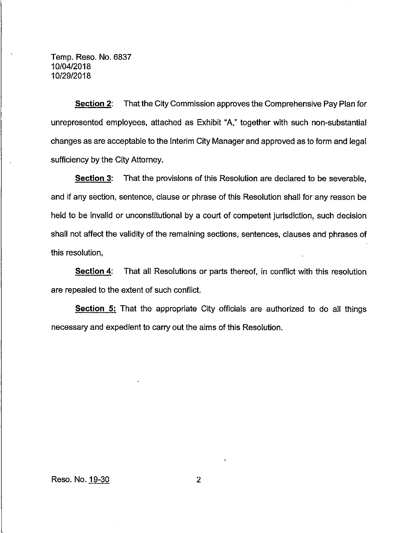**Temp. Reso. No. 6837 10/04/2018 10/29/2018**

**Section 2: That the City Commission approves the Comprehensive Pay Plan for unrepresented employees, attached as Exhibit "A," together with such non-substantial changes as are acceptable to the Interim City Manager and approved as to form and legal . sufficiencyby the City Attorney.**

**Section 3: That the provisions of this Resolution are declared to be severable, and ifany section, sentence, clause or phrase of this Resolution shallfor any reason be held to be invalidor unconstitutionalby a court of competent jurisdiction,such decision shall not affectthe validityof the remaining sections, sentences, clauses and phrases of** this resolution,

**<u>Section 4</u>: That all Resolutions or parts thereof, in conflict with this resolution are repealed to the extent of such conflict.**

**Section 5: That the appropriate City officialsare authorized to do all things necessary** and expedient to carry out the aims of this Resolution.

**Reso. No. 19-30 2**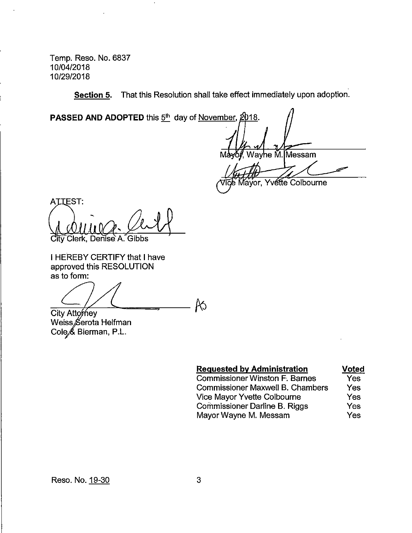**Temp. Reso. No. 6837 10/04/2018 10/29/2018**

**<u>Section 5</u>. That this Resolution shall take effect immediately upon adoption.</u>** 

**PASSED AND ADOPTED** this  $5<sup>th</sup>$  day of November, 2018.

**M ,Way e ll.Messam**

**ayor, Yvdtte Colbourne**

**A .EST: Gtiy Clerk, Deriise A.~Gibbs**

**IHEREBY CERTIFY that Ihave approved thisRESOLUTION as to form:**

 $R_{\rm{D}}$ 

**City Att /ley Weiss erota Helfman Cole, Bierman, P.L.**

| <b>Requested by Administration</b>      | <b>Voted</b> |
|-----------------------------------------|--------------|
| <b>Commissioner Winston F. Barnes</b>   | Yes          |
| <b>Commissioner Maxwell B. Chambers</b> | Yes          |
| Vice Mayor Yvette Colbourne             | Yes          |
| Commissioner Darline B. Riggs           | Yes          |
| Mayor Wayne M. Messam                   | Yes          |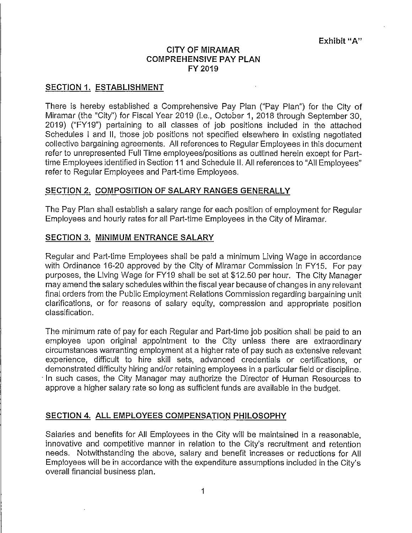## **CITY OF MIRAMAR COMPREHENSIVE PAY PLAN FY 2019**

## **SECTION 1. ESTABLISHMENT**

**There is hereby established a Comprehensive Pay Plan ("Pay Plan") for the City of Miramar** (the "City") for Fiscal Year 2019 (i.e., October 1, 2018 through September 30, **2019) ("FY19") pertaining to all classes of job positions included in the attached Schedules 1 and II,those job positions not specified elsewhere in existing negotiated collectivebargaining agreements. Allreferences to Regular Employees inthisdocument referto unrepresented FullTime employees/positions as outlined herein except for Parttime Employees identifiedinSection 11 and Schedule ll.Allreferences to "AllEmployees" refer to Regular Employees and Part-time Employees.** 

## **SECTION 2. COMPOSITION OF SALARY RANGES GENERALLY**

**The Pay Plan shallestablish a salary range for each position of employment for Regular Employees and hourly rates for allPart-time Employees in the City of Miramar.**

# **SECTION 3. MINIMUM ENTRANCE SALARY**

**Regular and Part-time Employees shall be paid a minimum Living Wage in accordance with Ordinance 16-20 approved by the City of Miramar Commission in FY15. For pay purposes, the Living Wage for FY19 shall be set at \$12.50 per hour. The City Manager may amend the salary schedules withinthe fiscalyear because of changes inany relevant finalorders from the Public Employment Relations Commission regarding bargaining unit clarifications,or for reasons of salary equity, compression and appropriate position classification.**

**The minimum rate of pay for each Regular and Part-time job position shall be paid to an employee upon original appointment to the City unless there are extraordinary circumstances warranting employment at a higher rate of pay such as extensive relevant experience, difficult to hire skill sets, advanced credentials or certifications, or demonstrated difficultyhiringand/or retainingemployees in a particularfieldor discipline. In such cases, the City Manager may authorize the Director of Human Resources to approve a higher salary rate so long as sufficientfunds are available in the budget.**

## **SECTION 4. ALL EMPLOYEES COMPENSATION PHILOSOPHY**

**Salaries** and benefits for All Employees in the City will be maintained in a reasonable, **innovative** and competitive manner in relation to the City's recruitment and retention **needs. Notwithstanding the above, salary and benefit increases or reductions for All Employees willbe in accordance with the expenditure assumptions included inthe City's overallfinancialbusiness plan.**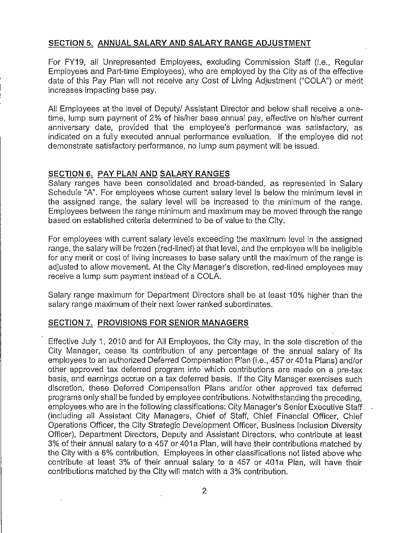## **SECTION 5. ANNUAL SALARY AND SALARY RANGE ADJUSTMENT**

**For FY19, all Unrepresented Employees, excluding Commission Staff (i.e.,Regular Employees and Part-time Employees), who are employed by the City as of the effective date of this Pay Plan willnot receive any Cost of Living Adjustment ("COLA") or merit increases impacting base pay.**

**All Employees at the levelof Deputy/ Assistant Director and below shallreceive a onetime, lump sum payment of 2% of his/her base annual pay, effectiveon his/her current anniversary date, provided that the employee's performance was satisfactory, as indicated on a fullyexecuted annual performance evaluation. Ifthe employee did not demonstrate** satisfactory performance, no lump sum payment will be issued.

## **SECTION 6. PAY PLAN AND SALARY RANGES**

**Salary ranges have been consolidated and broad-banded, as represented in Salary Schedule "A". For employees whose current salary level is below the minimum level in the** assigned range, the salary level will be increased to the minimum of the range. **Employees between the range minimum and maximum may be moved through the range based on established criteriadetermined to be of value to the City.**

**For employees with current salary levels exceeding the maximum levelin the assigned range, the salary will be frozen (red-lined) at that level, and the employee will be ineligible for any merit or cost of livingincreases to base salary untilthe maximum of the range is adjusted to allow movement. At the City Manager's discretion,red-lined employees may receive a lump sum payment instead of a COLA.**

**Salary range maximum for Department Directors shall be at least 10% higher than the salary range maximum of theirnext lower ranked subordinates.**

## **SECTION 7. PROVISIONS FOR SENIOR MANAGERS**

**EffectiveJuly 1, 2010 and for All Employees, the City may, in the sole discretionof the City Manager, cease its contribution of any percentage of the annual salary of its employees to an authorized Deferred Compensation Plan (i.e.,457 or 401a Plans) and/or other approved tax deferred program into which contributions are made on a pre-tax basis, and earnings accrue on a tax deferred basis. Ifthe City Manager exercises such discretion,these Deferred Compensation Plans and/or other approved tax deferred programs only shallbe funded by employee contributions.Notwithstanding the preceding, employees who are inthe following classifications:City Manager's Senior Executive Staff (including all Assistant City Managers, Chief of Staff, Chief Financial Officer, Chief Operations Officer, the City Strategic Development Officer, Business Inclusion Diversity Officer), Department Directors, Deputy and Assistant Directors, who contribute at least 3% of theirannual salary to a 457 or 401a Plan, willhave theircontributionsmatched by the City with a 6% contribution. Employees in other classificationsnot listedabove who contribute at least 3% of their annual salary to a 457 or 401a Plan, willhave their contributionsmatched by the City willmatch with a 3% contribution.**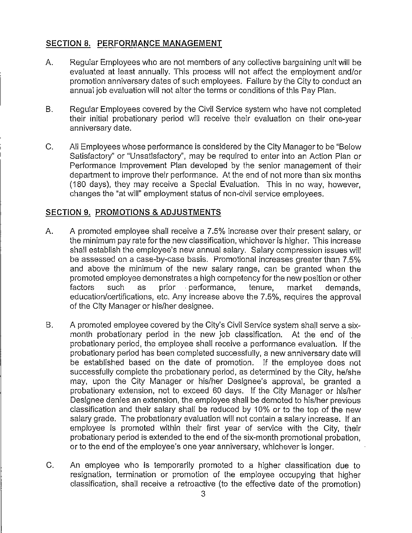# **SECTION 8. PERFORMANCE MANAGEMENT**

- **A. Regular Employees who are not members of any collectivebargaining unitwillbe evaluated at least annually. This process willnot affect the employment and/or promotion anniversary dates of such employees. Failure by the City to conduct an annual job evaluation willnot alterthe terms or conditions of this Pay Plan.**
- **B. Regular Employees covered by the CivilService system who have not completed their initialprobationary period will receive their evaluation on their one-year anniversary date.**
- **C. AllEmployees whose performance isconsidered by the City Manager to be "Below Satisfactory"or "Unsatisfactory",may be required to enter into an Action Plan or Performance Improvement Plan developed by the senior management of their department** to improve their performance. At the end of not more than six months **(180 days), they may receive a Special Evaluation. This in no way, however, changes the "atwill"employment status of non-civilservice employees.**

## **SECTION 9. PROMOTIONS & ADJUSTMENTS**

- **A. A promoted employee shall receive a 7.5% increase over theirpresent salary,or the minimum pay rateforthe new classification,whichever ishigher. This increase shall establishthe employee's new annual salary. Salary compression issues will be assessed on a case-by-case basis. Promotional increases greater than 7.5% and above the minimum of the new salary range, can be granted when the promoted employee demonstrates a high competency forthe new positionor other f performance, education/certifications,etc.Any increase above the 7.5%, requires the approval of the City Manager or his/her designee.**
- **B.** A promoted employee covered by the City's Civil Service system shall serve a six**month probationary period in the new job classification. At the end of the probationary period, the employee shall receive a performance evaluation. Ifthe probationary** period has been completed successfully, a new anniversary date will **be established based on the date of promotion. If the employee does not successfully complete the probationary period, as determined by the City,he/she may, upon the City Manager or his/her Designee's approval, be granted a probationary extension, not to exceed 60 days. Ifthe City Manager or his/her Designee denies an extension, the employee shallbe demoted to his/her previous classificationand theirsalary shall be reduced by 10% or to the top of the new salary grade. The probationary evaluation willnot contain a salary increase. Ifan employee is promoted within their firstyear of service with the City, their probationary period isextended to the end of the six-month promotional probation, or to the end of the employee's one year anniversary, whichever is longer.**
- **C. An employee who is temporarily promoted to a higher classificationdue to resignation, termination or promotion of the employee occupying that higher classification,shall receive a retroactive(to the effectivedate of the promotion)**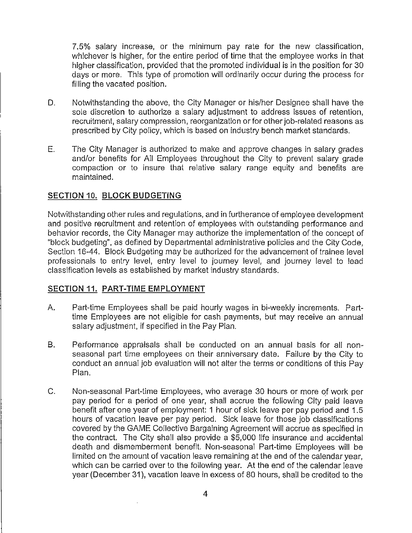**7.5% salary increase, or the minimum pay rate for the new classification, whichever is higher, for the entire period of time that the employee works in that higher classification,provided that the promoted individualisinthe positionfor 30 days or more. This type of promotion willordinarilyoccur during the process for fillingthe vacated position.**

- **D. Notwithstanding the above, the City Manager or his/her Designee shall have the sole discretion to authorize a salary adjustment to address issues of retention, recruitment, salary compression, reorganization or for other job-related reasons as prescribed by City policy,which is based on industry bench market standards.**
- **E. The City Manager is authorized to make and approve changes in salary grades and/or benefits for All Employees throughout the City to prevent salary grade compaction or to insure that relative salary range equity and benefits are maintained.**

## **SECTION 10. BLOCK BUDGETING**

**Notwithstanding other rules and regulations,and infurtherance of employee development and positive recruitment and retention of employees with outstanding performance and behavior records, the City Manager may authorize the implementation of the concept of "block budgeting", as defined by Departmental administrative policiesand the City Code, Section 16-44. Block Budgeting may be authorized for the advancement of trainee level professionals to entry level, entry level to journey level, and journey level to lead classificationlevels as established by market industry standards.**

## **SECTION 11. PART-TIME EMPLOYMENT**

- **A. Part-time Employees shall be paid hourly wages in bi-weekly increments. Parttime Employees are not eligiblefor cash payments, but may receive an annual salary adjustment, ifspecified inthe Pay Plan.**
- **B. Performance appraisals shall be conducted on an annual basis for all nonseasonal part time employees on theiranniversary date. Failure by the City to conduct an annual job evaluation willnot alterthe terms or conditions of this Pay Plan.**
- **C. Non-seasonal Part-time Employees, who average 30 hours or more of work per pay period for a period of one year, shall accrue the following City paid leave benefit afterone year of employment: 1 hour of sick leave per pay period and 1.5 hours of vacation leave per pay period. Sick leave for those job classifications covered by the GAME CollectiveBargaining Agreement willaccrue as specified in the contract. The City shall also provide a \$5,000 lifeinsurance and accidental death and dismemberment benefit. Non-seasonal Part-time Employees will be limitedon the amount of vacation leave remaining at the end of the calendar year, which can be carried over to the.following year. At the end of the calendar leave year (December 31), vacation leave in excess of 80 hours, shallbe credited to the**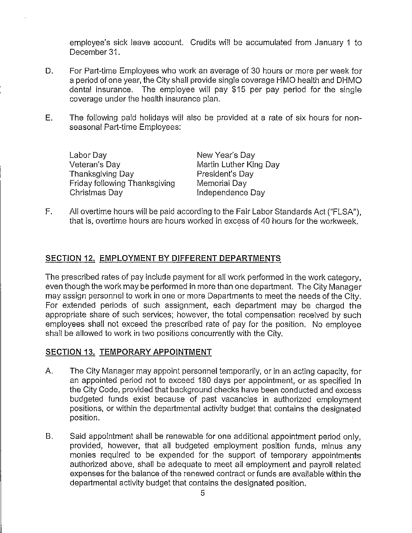**employee's sick leave account. Credits willbe accumulated from January 1 to December 31.**

- **D. For Part-time Employees who work an average of 30 hours or more per week for a period of one year, the Cityshallprovide single coverage HMO health and DHMO dental insurance. The employee will pay \$15 per pay period for the single coverage under the health insurance plan.**
- **E. The following paid holidays willalso be provided at a rate of six hours for nonseasonal Part-time Employees:**

**Labor Day New Year's Day Thanksgiving Day President's Day Friday following Thanksgiving Memorial Day**

**Veteran's Day Martin Luther King Day Christmas Day Independence Day**

**F. Allovertime hours willbe paid according to the Fair Labor Standards Act ("FLSA"), that is,overtime hours are hours worked in excess of 40 hours for the workweek.**

# **SECTION 12. EMPLOYMENT BY DIFFERENT DEPARTMENTS**

**The prescribed rates of pay include payment for allwork performed in the work category, even though the work may be performed inmore than one department. The City Manager may assign personnel to work inone or more Departments to meet the needs of the City. For extended periods of such assignment, each department may be charged the appropriate share of such services; however, the totalcompensation received by such employees shall not exceed the prescribed rate of pay for the position. No employee shall be allowed to work intwo positions concurrently with the City.**

# **SECTION 13. TEMPORARY APPOINTMENT**

- **A. The City Manager may appoint personnel temporarily, or in an acting capacity, for an appointed period not to exceed 180 days per appointment, or as specified in the City Code, provided thatbackground checks have been conducted and excess budgeted funds exist because of past vacancies in authorized employment positions,or within the departmental activitybudget that contains the designated position.**
- **B. Said appointment shallbe renewable for one additional appointment period only, provided, however, that all budgeted employment position funds, minus any monies required to be expended for the support of temporary appointments authorized above, shall be adequate to meet allemployment and payroll related expenses forthe balance of the renewed contract or funds are available withinthe departmental activitybudget that contains the designated position.**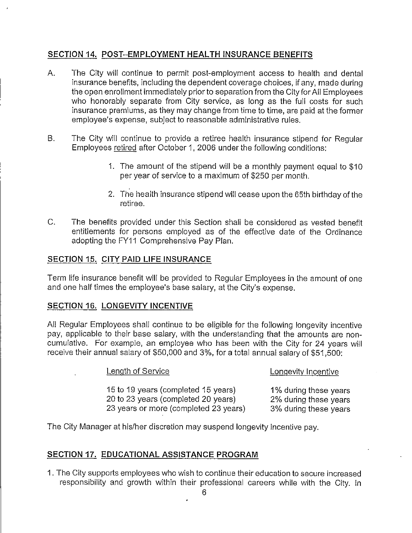# **SECTION 14. POST-EMPLOYMENT HEALTH INSURANCE BENEFITS**

- **A. The City willcontinue to permit post-employment access to health and dental <sup>I</sup> insurance benefits,including the dependent coverage choices, ifany, made during the open enrollment immediately priorto separation from the CityforAllEmployees who honorably separate from City service, as long as the fullcosts for such insurance premiums, as they may change from time to time, are paid at the former employee's expense, subject to reasonable administrative rules.**
- **B. The City willcontinue to provide a retiree health insurance stipend for Regular Employees retiredafterOctober 1, 2006 under the following conditions:**
	- **1. The amount of the stipend willbe a monthly payment equal to \$10 per year of service to a maximum of \$250 per month.**
	- **2. The health insurance stipend willcease upon the 65th birthday of the retiree.**
- **C. The benefits provided under this Section shall be considered as vested benefit entitlements for persons employed as of the effective date of the Ordinance adopting the FY11 Comprehensive Pay Plan.**

## **SECTION 15. CITY PAID LIFE INSURANCE**

**Term lifeinsurance benefitwillbe provided to Regular Employees in the amount of one and one halftimes the employee's base salary, at the City'sexpense.**

## **SECTION 16. LONGEVITY INCENTIVE**

**All Regular Employees shall continue to be eligiblefor the following longevity incentive pay, applicable** to their base salary, with the understanding that the amounts are non**cumulative. For example, an employee who has been with the City for 24 years will receive theirannual salary of \$50,000 and 3%, for a totalannual salary of \$51,500:**

**Length of Service Lonqevity Incentive**

**<sup>15</sup> to <sup>19</sup> years (completed <sup>15</sup> years) 1% during these years <sup>20</sup> to <sup>23</sup> years (completed <sup>20</sup> years) 2% during these years <sup>23</sup> years or more (completed <sup>23</sup> years) 3% during these years**

**The City Manager at his/her discretionmay suspend longevity incentive pay.**

## **SECTION 17. EDUCATIONAL ASSISTANCE PROGRAM**

**1. The City supports employees who wish to continue theireducation to secure increased responsibilityand growth within their professional careers while with the City. In**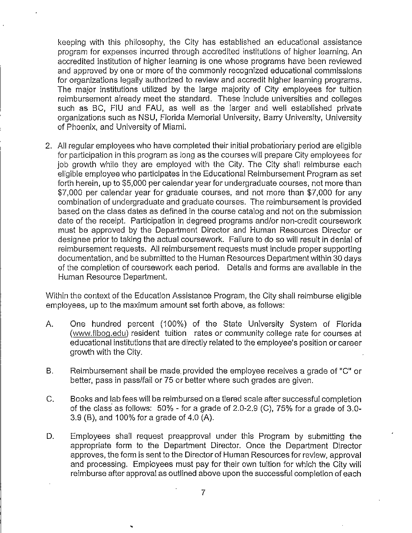**keeping with this philosophy, the City has established an educational assistance program for expenses incurred through accredited institutionsof higher learning.An accredited institutionof higher learning is one whose programs have been reviewed and approved by one or more of the commonly recognized educational commissions for organizations legallyauthorized to review and accredit higher learning programs. The major institutionsutilizedby the large majority of City employees for tuition reimbursement already meet the standard. These include universitiesand colleges such as BC, FlU and FAU, as well as the larger and well established private organizations such as NSU, Florida Memorial University,Barry University,University of Phoenix, and Universityof Miami.**

**2. Allregular employees who have completed theirinitialprobationary period are eligible for participation in this program as long as the courses will prepare City employees for job growth while they are employed with the City. The City shall reimburse each eligible employee who participates in the Educational Reimbursement Program as set forthherein, up to \$5,000 per calendar year for undergraduate courses, not more than \$7,000 per calendar year for graduate courses, and not more than \$7,000 for any combination of undergraduate and graduate courses. The reimbursement isprovided based on the class dates as defined in the course catalog and not on the submission date of the receipt. Participationin degreed programs and/or non-credit coursework must be approved by the Department Director and Human Resources Director or designee priorto taking the actual coursework. Failureto do so willresultin denial of reimbursement requests. Allreimbursement requests must include proper supporting documentation, and be submitted to the Human Resources Department within 30 days of the completion of coursework each period. Details and forms are available in the Human Resource Department.**

**Within the context of the Education Assistance Program, the City shall reimburse eligible employees, up to the maximum amount set forthabove, as follows:**

- **A. One hundred percent (100%) of the State University System of Florida (www.flbog.edu) resident tuition rates or community college rate for courses at educational institutionsthat are directlyrelated to the employee's positionor career growth with the City.**
- **B. Reimbursement shallbe made.provided the employee receives a grade of "C" or better,pass in pass/failor 75 or betterwhere such grades are given.**
- **C. Books and lab fees willbe reimbursed on a tieredscale aftersuccessful completion of the class as follows: 50% - for <sup>a</sup> grade of 2.0-2.9 (C), 75% for <sup>a</sup> grade of 3.0- 3.9 (B),and 100% for a grade of 4.0 (A).**
- **D. Employees shall request preapproval under this Program by submitting the appropriate form to the Department Director. Once the Department Director approves, the form issent to the Directorof Human Resources for review, approval and processing. Employees must pay for theirown tuitionfor which the City will reimburse afterapproval as outlined above upon the successful completion of each**

**%**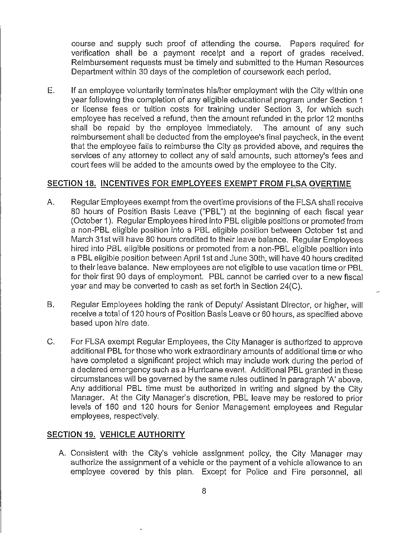**course and supply such proof of attending the course. Papers required for verificationshall be a payment receipt and a report of grades received. Reimbursement requests must be timely and submitted to the Human Resources Department within 30 days of the completion of coursework each period.**

**E. Ifan employee voluntarilyterminates his/her employment with the City within one year following the completion of any eligibleeducational program under Section 1 or license fees or tuitioncosts for training under Section 3, for which such employee has received a refund, then the amount refunded inthe prior12 months shall** be repaid by the employee immediately. **reimbursement shall be deducted from the employee's finalpaycheck, inthe event that the employee failsto reimburse the City as provided above, and requires the services of any attorney to collectany of saiciamounts, such attorney'sfees and court fees willbe added to the amounts owed by the employee to the City.**

### **SECTION 18. INCENTIVES FOR EMPLOYEES EXEMPT FROM FLSA OVERTIME**

- **A. Regular Employees exempt from the overtime provisions of the FLSA shallreceive 80 hours of Position Basis Leave ("PBL") at the beginning of each fiscalyear (October 1). Regular Employees hired intoPBL eligiblepositionsor promoted from a non-PBL eligibleposition into a PBL eligibleposition between October 1st and March 31st willhave 80 hours credited to theirleave balance. Regular Employees hired intoPBL eligiblepositions or promoted from a non-PBL eligibleposition into a PBL eligibleposition between April1st and June 30th, willhave 40 hours credited to theirleave balance. New employees are not eligibleto use vacation time or PBL for theirfirst90 days of employment. PBL cannot be carried over to a new fiscal year and may be converted to cash as set forthin Section 24(C).**
- **B. Regular Employees holding the rank of Deputy/ Assistant Director,or higher, will receive a totalof 120 hours of Position Basis Leave or 60 hours, as specified above based upon hire date.**
- **C. For FLSA exempt Regular Employees, the City Manager isauthorized to approve additionalPBL for those who work extraordinary amounts of additionaltime or who have completed a significantproject which may include work during the period of a declared emergency such as a Hurricane event. Additional PBL granted inthese circumstances willbe governed by the same rules outlined in paragraph 'A'above. Any additional PBL time must be authorized in writing and signed by the City Manager. At the City Manager's discretion,PBL leave may be restored to prior levels of 160 and 120 hours for Senior Management employees and Regular employees, respectively.**

#### **SECTION 19. VEHICLE AUTHORITY**

**A. Consistent with the City's vehicle assignment policy, the City Manager may authorize the assignment of a vehicle or the payment of a vehicle allowance to an employee covered by this plan. Except for Police and Fire personnel, all**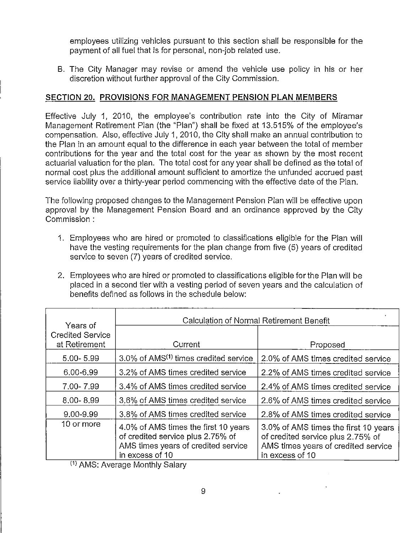**employees utilizingvehicles pursuant to this section shall be responsible for the payment of allfuel that isfor personal, non-job related use.**

**B. The City Manager may revise or amend the vehicle use policy in his or her discretionwithout furtherapproval of the City Commission.**

# **SECTION 20. PROVISIONS FOR MANAGEMENT PENSION PLAN MEMBERS**

**Effective July 1, 2010, the employee's contribution rate into the City of Miramar Management Retirement Plan (the "Plan") shall be fixed at 13.515% of the employee's compensation.** Also, effective July 1, 2010, the City shall make an annual contribution to **the Plan in an amount equal to the difference in each year between the totalof member contributions for the year and the totalcost for the year as shown by the most recent actuarialvaluation forthe plan. The totalcost for any year shall be defined as the totalof normal cost plus the additionalamount sufficientto amortize the unfunded accrued past service liabilityover a thirty-yearperiod commencing with the effectivedate of the Plan.**

**The** following proposed changes to the Management Pension Plan will be effective upon **approval by the Management Pension Board and an ordinance approved by the City Commission :**

- **1. Employees who are hired or promoted to classificationseligiblefor the Plan will have the vesting requirements for the plan change from five (5) years of credited service to seven (7) years of credited service.**
- **2. Employees who are hired or promoted to classificationseligibleforthe Plan willbe placed in a second tierwith a vesting period of seven years and the calculation of benefits defined as follows in the schedule below:**

| Years of                                 | Calculation of Normal Retirement Benefit                                                                                            |                                                                                                                                     |
|------------------------------------------|-------------------------------------------------------------------------------------------------------------------------------------|-------------------------------------------------------------------------------------------------------------------------------------|
| <b>Credited Service</b><br>at Retirement | Current                                                                                                                             | Proposed                                                                                                                            |
| $5.00 - 5.99$                            | 3.0% of AMS <sup>(1)</sup> times credited service                                                                                   | 2.0% of AMS times credited service                                                                                                  |
| 6.00-6.99                                | 3.2% of AMS times credited service                                                                                                  | 2.2% of AMS times credited service                                                                                                  |
| 7.00-7.99                                | 3.4% of AMS times credited service                                                                                                  | 2.4% of AMS times credited service                                                                                                  |
| $8.00 - 8.99$                            | 3.6% of AMS times credited service                                                                                                  | 2.6% of AMS times credited service                                                                                                  |
| 9.00-9.99                                | 3.8% of AMS times credited service                                                                                                  | 2.8% of AMS times credited service                                                                                                  |
| 10 or more                               | 4.0% of AMS times the first 10 years<br>of credited service plus 2.75% of<br>AMS times years of credited service<br>in excess of 10 | 3.0% of AMS times the first 10 years<br>of credited service plus 2.75% of<br>AMS times years of credited service<br>in excess of 10 |

**(1)AMS: Average Monthly Salary**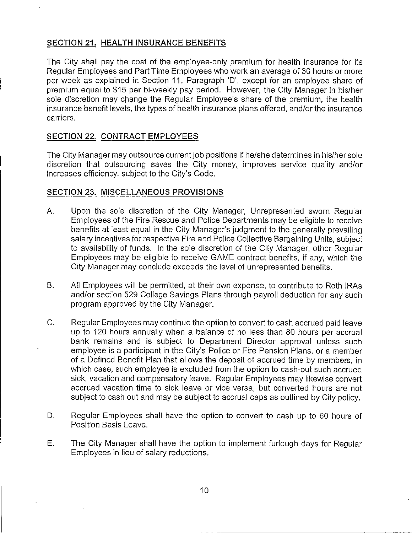# **SECTION 21. HEALTH INSURANCE BENEFITS**

**The City shall pay the cost of the employee-only premium for health insurance for its Regular Employees and Part Time Employees who work an average of 30 hours or more per week as explained in Section 11, Paragraph 'D',except for an employee share of premium equal to \$15 per bi-weekly pay period. However, the City Manager in his/her sole discretion may change the Regular Employee's share of the premium, the health insurance benefitlevels,the types of health insurance plans offered,and/or the insurance carriers.**

# **SECTION 22. CONTRACT EMPLOYEES**

**The City Manager may outsource current job positionsifhe/she determines inhis/hersole discretion that outsourcing saves the City money, improves service quality and/or increases** efficiency, subject to the City's Code.

### **SECTION 23. MISCELLANEOUS PROVISIONS**

- **A. Upon the sole discretion of the City Manager, Unrepresented sworn Regular Employees of the Fire Rescue and Police Departments may be eligibleto receive benefits at least equal in the City Manager's judgment to the generally prevailing salary incentivesforrespective Fire and Police Collective Bargaining Units,subject to availabilityof funds. In the sole discretionof the City Manager, other Regular Employees** may be eligible to receive GAME contract benefits, if any, which the **City Manager may conclude exceeds the levelof unrepresented benefits.**
- **B. All Employees willbe permitted, at theirown expense, to contribute to Roth 1RAs and/or section 529 College Savings Plans through payrolldeduction for any such program approved by the City Manager.**
- **C. Regular Employees may continue the option to convert to cash accrued paid leave up to 120 hours annually when a balance of no less than 80 hours per accrual bank remains and is subject to Department Director approval unless such employee isa participantinthe City's Police or Fire Pension Plans, or a member of a Defined Benefit Plan that allows the deposit of accrued time by members, in which case, such employee is excluded from the option to cash-out such accrued sick,vacation and compensatory leave. Regular Employees may likewise convert accrued vacation time to sick leave or vice versa, but converted hours are not subject to cash out and may be subject to accrual caps as outlined by City policy.**
- **D. Regular Employees shall have the option to convert to cash up to 60 hours of Position Basis Leave.**
- **E. The City Manager shall have the option to implement furlough days for Regular Employees in lieuof salary reductions.**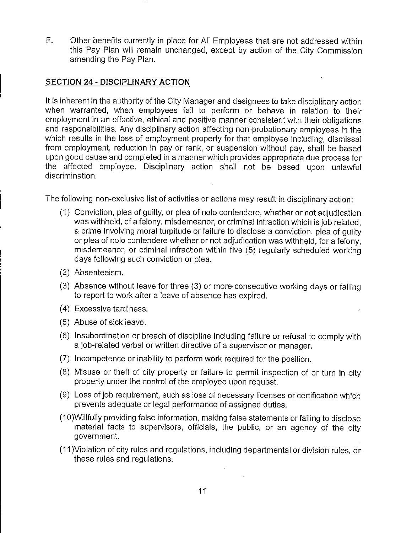**F. Other benefits currentlyin place for All Employees that are not addressed within this Pay Plan willremain unchanged, except by action of the City Commission arnending the Pay Plan.**

# **SECTION 24 - DISCIPLINARY ACTION**

**Itisinherent inthe authorityof the City Manager and designees to take disciplinaryaction when warranted, when employees fail to perform or behave in relation to their employment in an effective,ethicaland positive manner consistent with theirobligations and responsibilities.Any disciplinaryaction affectingnon-probationary employees in the** which results in the loss of employment property for that employee including, dismissal **from employment, reduction in pay or rank, or suspension without pay, shall be based upon good cause and completed ina manner which provides appropriate due process for the affected employee. Disciplinary action shall not be based upon uniawful discrimination.**

**The following non-exclusive listof activitiesor actions may resultin disciplinaryaction:**

- **(1) Conviction, plea of guilty,or plea of nolo contendere, whether or not adjudication was withheld, of a felony,misdemeanor, or criminalinfractionwhich isjob related, a crime involvingmoral turpitude or failureto disclose a conviction,plea of guilty or plea of nolo contendere whether or not adjudication was withheld, for a feiony, misdemeanor, or criminal infractionwithin five (5) regularly scheduled working days following such conviction or plea.**
- **(2) Absenteeism.**
- **(3) Absence without leave for three (3) or more consecutive working days or failing to report to work aftera leave of absence has expired.**
- **(4) Excessive tardiness.**
- **(5) Abuse of sick leave.**
- **(6) Insubordination or breach of disciplineincluding failureor refusalto comply with a job-related verbal or writtendirectiveof a supervisor or manager.**
- **(7) Incompetence or inabilityto perform work required forthe position.**
- **(8) Misuse or theft of cityproperty or failureto permit inspection of or turn in city property under the controlof the employee upon request.**
- **(9) Loss of job requirement, such as loss of necessary licenses or certificationwhich prevents adequate or legal performance of assigned duties.**
- **(10)Willfullyproviding false information,making false statements or failingto disclose material facts to supervisors, officials,the public, or an agency of the city government.**
- **(11)Violationof cityrules and regulations,including departmental or divisionrules,or these rules and regulations.**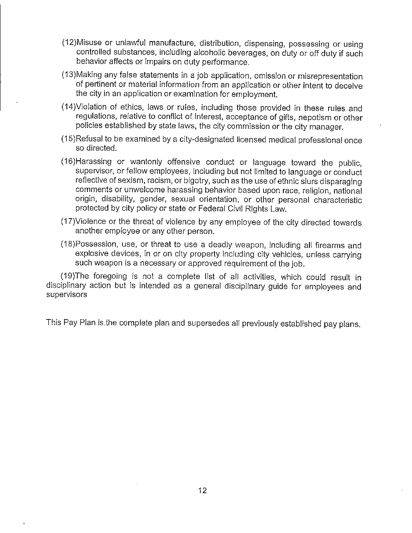- **(12)Misuse or unlawful manufacture, distribution,dispensing, possessing or using controlledsubstances, including alcoholic beverages, on duty or offduty ifsuch behavior affectsor impairs on duty performance.**
- **(13)Making any false statements in <sup>a</sup> job application,omission or misrepresentation of pertinentor material information from an application or other intentto deceive the cityin an applicationor examination for employment.**
- **(14)Violation of ethics, laws or rules, including those provided in these rules and regulations, relative to conflict of interest, acceptance of gifts, nepotism or other policiesestablished by state laws, the citycommission or the citymanager.**
- **(15)Refusal to be examined by <sup>a</sup> city-designated licensed medical professional once so directed.**
- **(16)Harassing or wantonly offensive conduct or language toward the public,**  $\frac{1}{2}$  **supervisor,** or fellow employees, including but not limited to language or conduct **reflective of sexism, racism, or bigotry, such as the use of ethnic slurs disparaging comments or unwelcome harassing behavior based upon race, religion,national origin,disability,gender, sexual orientation, or other personal characteristic protected by citypolicy or state or Federal CivilRights Law.**
- **(17)Violence or the threat of violence by any employee of the citydirected towards another employee or any other person.**
- **(18)Possession, use, or threat to use a deadly weapon, including allfirearms and explosive devices, in or on cityproperty including cityvehicles, unless carrying such weapon isa necessary or approved requirement of the job.**

**(19)The foregoing is not a complete listof all activities,which could result in disciplinaryaction but is intended as <sup>a</sup> general disciplinaryguide for employees and supervisors**

**This Pay Plan isthe complete plan and supersedes allpreviously established pay plans.**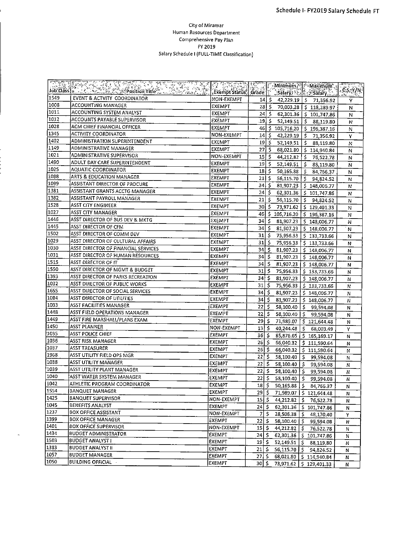#### City of Miramar Human Resources Department Comprehensive Pay Plan FY 2019 Salary Schedule I (FULL-TIME Classification)

|               | <b>Job Class (2004)</b>             |                         |                               |             |                            | Maximum                              |        |
|---------------|-------------------------------------|-------------------------|-------------------------------|-------------|----------------------------|--------------------------------------|--------|
|               |                                     | . Exempt Status   Grade |                               |             |                            | Salary Research                      | CS-Y/N |
| 1549          | EVENT & ACTVITY COORDINATOR         | NON-EXEMPT              |                               | 14. S       |                            | 42,229.19   \$ 71,356.92             | Y      |
| 1008          | ACCOUNTING MANAGER                  | EXEMPT                  |                               |             |                            | 28 \$ 70,003.28 \$ 118,289.97        | N      |
| 1011          | <b>ACCOUNTING SYSTEM ANALYST</b>    | EXEMPT                  | 24                            | \$          |                            | 62,301.36   \$ 101,747.86            | Ν      |
| 1012          | ACCOUNTS PAYABLE SUPERVISOR         | <b>EXEMPT</b>           |                               | \$  19      |                            | $52,149.51$ $\binom{5}{2}$ 88,119.80 | N      |
| 1028          | ACM CHIEF FINANCIAL OFFICER         | EXEMPT                  |                               |             |                            | 46 \$ 105,716.20 \$ 196,387.16       | N      |
| 1345          | ACTIVITY COORDINATOR                | NON-EXEMPT              |                               | $14 \mid S$ |                            | 42,229.19   \$ 71,356.92             | Y      |
| 1402          | ADMINISTRATION SUPERINTENDENT       | <b>EXEMPT</b>           |                               | $19 \mid 5$ | $52,149.51$ $\binom{6}{5}$ | 88,119.80                            | N      |
| 1149          | ADMINISTRATIVE MANAGER              | EXEMPT                  | $27 \frac{1}{2}$              |             |                            | 68,021.80   \$114,940.84             | N      |
| 1021          | ADMINISTRATIVE SUPERVISOR           | NON-EXEMPT              | $15 \mid 5$                   |             |                            | 44,212.82 \$76,522.78                | N      |
| 1490          | ADULT DAY CARE SUPERINTENDENT       | EXEMPT                  |                               | $19$ \$     | 52,149.51                  | 588,119.80                           | N      |
| 1025          | <b>AQUATIC COORDINATOR</b>          | <b>EXEMPT</b>           | $18 \mid 5$                   |             | 50,165.88                  | S.<br>84,766.37                      | N      |
| 1088          | ARTS & EDUCATION MANAGER            | EXEMPT                  | $21 \mid 5$                   |             | $56,115.70$ $\frac{1}{5}$  | 94,824.52                            | N      |
| 1099          | ASSISTANT DIRECTOR OF PROCURE       | <b>EXEMPT</b>           | $34$ S                        |             |                            | 81,907.23   \$ 148,006.77            | Ν      |
| 1381          | ASSISTANT GRANTS ACCTG MANAGER      | EXEMPT                  | $24$ \$                       |             | 62,301.36                  | \$101,747.86                         | N      |
| 1382          | ASSISTANT PAYROLL MANAGER           | <b>EXEMPT</b>           | 21                            | -Ŝ          |                            | 56,115.70   \$ 94,824.52             | N      |
| 1528          | ASST CITY ENGINEER                  | EXEMPT                  | 30 I S                        |             |                            | 73,971.62   \$129,401.33             | N      |
| 1027          | ASST CITY MANAGER                   | <b>EXEMPT</b>           | 46   \$                       |             |                            | 105,716.20   \$196,387.16            | Ν      |
| 1446          | ASST DIRECTOR OF BUS DEV & MKTG     | EXEMPT                  | 34 S                          |             |                            | 81,907.23   \$ 148,006.77            | N      |
| 1445          | ASST DIRECTOR OF CFM                | <b>EXEMPT</b>           | 34 S                          |             |                            | 81,907.23   \$148,006.77             | N      |
| 1502          | ASST DIRECTOR OF COMM DEV           | EXEMPT                  | $31 \mid 5$                   |             |                            | 75,956.33   \$ 133,733.66            | N      |
| 1029          | ASST DIRECTOR OF CULTURAL AFFAIRS   | <b>EXEMPT</b>           | $31 \frac{1}{2}$              |             |                            | 75,956.33   \$ 133,733.66            | N      |
| 1030          | ASST DIRECTOR OF FINANCIAL SERVICES | EXEMPT                  | 34                            | l \$        |                            | 81,907.23   \$148,006.77             | N      |
| 1031          | ASST DIRECTOR OF HUMAN RESOURCES    | EXEMPT                  | 34I                           | 5           | 81,907.23                  | \$148,006.77                         | N      |
| 1515          | ASST DIRECTOR OF IT                 | <b>EXEMPT</b>           | 34 S                          |             |                            | 81,907.23   \$ 148,006.77            | N      |
| 1550          | ASST DIRECTOR OF MGMT & BUDGET      | EXEMPT                  | 31   \$                       |             |                            | 75,956.33 \$133,733.66               | N      |
| 1393          | ASST DIRECTOR OF PARKS RECREATION   | EXEMPT                  | 34                            | -\$         |                            | 81,907.23   \$ 148,006.77            | Ν      |
| 1032          | ASST DIRECTOR OF PUBLIC WORKS       | <b>EXEMPT</b>           | 31                            | 5           |                            | 75,956.33 \$ 133,733.66              | Ν      |
| 1655          | ASST DIRECTOR OF SOCIAL SERVICES    | <b>EXEMPT</b>           | 34 I S                        |             |                            | 81,907.23   \$148,006.77             | N      |
| 1084          | <b>ASST DIRECTOR OF UTILITIES</b>   | <b>EXEMPT</b>           | $34$ $\overline{\phantom{1}}$ |             |                            | 81,907.23   \$ 148,006.77            | N      |
| 1033          | ASST FACILITIES MANAGER             | EXEMPT                  | 22                            | -\$         |                            | 58,100.40   \$ 99,594.08             | N      |
| 1448          | ASST FIELD OPERATIONS MANAGER       | EXEMPT                  | 22                            | \$.         |                            | 58,100.40   \$ 99,594.08             | N      |
| 1449          | ASST FIRE MARSHALL/PLANS EXAM       | EXEMPT                  | 29 I S                        |             |                            | 71,989.07   \$121,644.48             | N      |
| 1450          | ASST PLANNER                        | NON-EXEMPT              | $13 \, \frac{1}{5}$           |             | $40,244.48$   \$           | 68,003.49                            | Y      |
| 1035          | ASST POLICE CHIEF                   | EXEMPT                  | 36   \$                       |             |                            | 85,876.65   \$ 165,169.17            | N      |
| 1036          | ASST RISK MANAGER                   | EXEMPT                  | $25$ $\mid$ \$                |             |                            | 66,040.32   \$ 111,590.64            | N      |
| 1037          | <b>ASST TREASURER</b>               | EXEMPT                  | 26 S                          |             | 66,040.32                  | \$111,590.64                         | Ν      |
| 1968          | ASST UTILITY FIELD OPS MGR          | EXEMPT                  | $22$   \$                     |             |                            | 58,100.40   \$99,594.08              | 'N     |
| 1038          | ASST UTILITY MANAGER                | EXEMPT                  | 22 5                          |             | 58,100.40 S                | 99,594.08                            | N      |
| 1039          | ASST UTILITY PLANT MANAGER          | EXEMPT                  | 22 IS                         |             | 58,100,40 5                | 99,594.08                            | Ν      |
| 1040          | ASST WATER SYSTEM MANAGER           | <b>EXEMPT</b>           | $22 \mid 5$                   |             | 58,100.40                  | S.<br>99,594.08                      | N      |
| $\sqrt{1042}$ | <b>ATHLETIC PROGRAM COORDINATOR</b> | EXEMPT                  | $18 \mid 5$                   |             |                            | 50,165.88   \$ 84,766.37             | N      |
| 1554          | <b>BANQUET MANAGER</b>              | <b>EXEMPT</b>           | $29 \mid 5$                   |             |                            | 71,989.07   \$121,644.48             | N      |
| 1425          | <b>BANQUET SUPERVISOR</b>           | NON-EXEMPT              | $15 \mid 5$                   |             | $44,212.82$   \$           | 76,522.78                            | N      |
| 1045          | BENEFITS ANALYST                    | <b>EXEMPT</b>           | 24   \$                       |             |                            | 62,301.36   \$ 101,747.86            | Ν      |
| 1237          | BOX OFFICE ASSISTANT                | NON-EXEMPT              | 7 S                           |             | $28,506.38$ $\frac{1}{5}$  | 48,170.40                            | Y      |
| 1399          | <b>BOX OFFICE MANAGER</b>           | EXEMPT                  | $22 \mid S$                   |             | 58,100.40 $\mid$ 5         | 99,594.08                            | Ν      |
| 1401          | <b>BOX OFFICE SUPERVISOR</b>        | NON-EXEMPT              | $15 \mid S \mid$              |             | $44,212.82$   S            | 76,522.78                            | Ν      |
| 1434          | <b>BUDGET ADMINISTRATOR</b>         | EXEMPT                  | 24 S                          |             | 62,301.36                  | \$101,747.86                         | N      |
| 1503          | BUDGET ANALYST I                    | <b>EXEMPT</b>           | $19$ $\sim$                   |             | $52,149.51$ $\binom{6}{5}$ | 88,119.80                            | Ν      |
| 1383          | <b>BUDGET ANALYST II</b>            | EXEMPT                  | $21 \mid 5 \mid$              |             | $56,115.70$ S              | 94,824.52                            | N      |
| 1057          | <b>BUDGET MANAGER</b>               | EXEMPT                  | 27   5                        |             |                            | 68,021.80   \$ 114,940.84            | Ν      |
| 1050          | <b>BUILDING OFFICIAL</b>            | EXEMPT                  | 30 \$                         |             |                            | 73,971.62   \$ 129,401.33            | Ν      |

 $\mathbf{r}$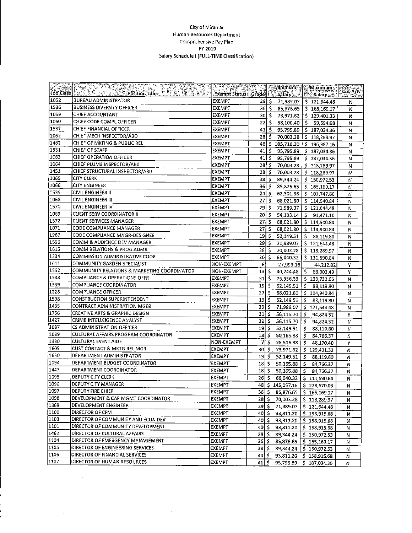#### City of Miramar Human Resources Department Comprehensive Pay Plan FY 2019 Salary Schedule | (FULL-TIME Classification)

 $\sim$ 

|      | <u> Constitution of the Constitution of the constitution of the constitution of the Maximum of the convertion of</u><br>The class fact in the constitution of the constitution of the constitution of the sale of the sale of the sale |               |                 |      |              |                                        |   |
|------|----------------------------------------------------------------------------------------------------------------------------------------------------------------------------------------------------------------------------------------|---------------|-----------------|------|--------------|----------------------------------------|---|
| 1052 | <b>BUREAU ADMINISTRATOR</b>                                                                                                                                                                                                            | <b>EXEMPT</b> | 29 S            |      |              | 71,989.07   \$121,644.48               | N |
| 1536 | <b>BUSINESS DIVERSITY OFFICER</b>                                                                                                                                                                                                      | EXEMPT        | 36 I S          |      |              | 85,876.65   \$ 165,169.17              | N |
| 1059 | CHIEF ACCOUNTANT                                                                                                                                                                                                                       | EXEMPT        | 30 \$           |      |              | 73,971.62   \$129,401.33               | N |
| 1060 | CHIEF CODE COMPL OFFICER                                                                                                                                                                                                               | EXEMPT        | 22 I S          |      |              | 58,100.40   \$ 99,594.08               | N |
| 1537 | CHIEF FINANCIAL OFFICER                                                                                                                                                                                                                | EXEMPT        | 41   5          |      |              | 95,795.89   \$187,034.36               | N |
| 1062 | CHIEF MECH INSPECTOR/ABO                                                                                                                                                                                                               | EXEMPT        | 28 \$           |      |              | 70,003.28   \$118,289.97               | N |
| 1482 | CHIEF OF MKTING & PUBLIC REL                                                                                                                                                                                                           | EXEMPT        | 46              | \$   |              | 105,716.20   \$196,387.16              | Ν |
| 1531 | CHIEF OF STAFF                                                                                                                                                                                                                         | EXEMPT        | 41   \$         |      |              | 95,795.89   \$187,034.36               | N |
| 1063 | CHIEF OPERATION OFFICER                                                                                                                                                                                                                | EXEMPT        | 41 I \$         |      |              | 95,795.89   \$ 187,034.36              | N |
| 1064 | CHIEF PLUMB INSPECTOR/AB0                                                                                                                                                                                                              | <b>EXEMPT</b> | 28 I S          |      |              | 70,003.28   \$ 118,289.97              | N |
| 1451 | CHIEF STRUCTURAL INSPECTOR/ABD                                                                                                                                                                                                         | EXEMPT        | 28S             |      |              | 70,003.28 \$118,289.97                 | N |
| 1065 | <b>CITY CLERK</b>                                                                                                                                                                                                                      | EXEMPT        | $38$ \$         |      |              | $89,344.24$   \$150,972.53             | N |
| 1066 | <b>CITY ENGINEER</b>                                                                                                                                                                                                                   | EXEMPT        | $36$ \$         |      |              | 85,876.65   \$ 165,169.17              | Ν |
| 1535 | CIVIL ENGINEER II                                                                                                                                                                                                                      | <b>EXEMPT</b> | $24$ S          |      |              | 62,301.36   \$ 101,747.86              | N |
| 1068 | CIVIL ENGINEER III                                                                                                                                                                                                                     | EXEMPT        | $27$ \$         |      |              | 68,021.80   \$114,940.84               | N |
| 1570 | <b>CIVIL ENGINEER IV</b>                                                                                                                                                                                                               | EXEMPT        | 29S             |      |              | 71,989.07   \$121,644.48               | N |
| 1069 | <b>CLIENT SERV COORDINATORIII</b>                                                                                                                                                                                                      | EXEMPT        | $20 \mid$ \$    |      |              | $54,133.14$   \$ 91,471.10             | N |
| 1572 | <b>CLIENT SERVICES MANAGER</b>                                                                                                                                                                                                         | <b>EXEMPT</b> | $27 \, \succeq$ |      | 68,021.80    | 5114,940.84                            | Ν |
| 1071 | CODE COMPLIANCE MANAGER                                                                                                                                                                                                                | EXEMPT        | 27              | ١\$  | 68,021.80    | \$114,940.84                           | N |
| 1967 | CODE COMPLIANCE MNGR-DESIGNEE                                                                                                                                                                                                          | <b>EXEMPT</b> | $19$ \$         |      | 52,149.51    | \$88,119.80                            | N |
| 1596 | COMM & AUDIENCE DEV MANAGER                                                                                                                                                                                                            | <b>EXEMPT</b> | $29$ \$         |      | 71,989.07    | $5$ 121,644.48                         | N |
| 1615 | COMM RELATIONS & PROG ADMR                                                                                                                                                                                                             | EXEMPT        | 28 S            |      |              | 70,003.28   \$ 118,289.97              | N |
| 1334 | COMMISSION ADMINISTRATIVE COOR                                                                                                                                                                                                         | EXEMPT        | 26S             |      |              | 66,040.32   \$111,590.64               | N |
| 1611 | COMMUNITY GARDEN SPECIALIST                                                                                                                                                                                                            | NON-EXEMPT    | 6               |      | 27,999.16    | 44,212.82                              | Y |
| 1552 | COMMUNITY RELATIONS & MARKETING COORDINATOR                                                                                                                                                                                            | NON-EXEMPT    | 13              | \$ ا | 40,244.48    | S.<br>68,003.49                        | Y |
| 1538 | COMPLIANCE & OPERATIONS OFFR                                                                                                                                                                                                           | <b>EXEMPT</b> | $31\frac{1}{5}$ |      |              | 75,956.33   \$ 133,733.66              | N |
| 1539 | COMPLIANCE COORDINATOR                                                                                                                                                                                                                 | EXEMPT        | 19 S            |      | 52,149.51    | S.<br>88,119.80                        | N |
| 1228 | COMPLIANCE OFFICER                                                                                                                                                                                                                     | EXEMPT        | 27   \$         |      | 68,021.80    | \$114,940.84                           | N |
| 1598 | CONSTRUCTION SUPERINTENDENT                                                                                                                                                                                                            | EXEMPT        | 19 <sub>1</sub> | \$   | 52,149.51    | s.<br>88,119.80                        | N |
| 1435 | CONTRACT ADMINISTRATION MGER                                                                                                                                                                                                           | EXEMPT        | 29 I S          |      | 71,989.07    | \$121,644.48                           | N |
| 1756 | CREATIVE ARTS & GRAPHIC DESIGN                                                                                                                                                                                                         | EXEMPT        | 21              | ۱Ŝ   | 56,115.70 \$ | 94,824.52                              | Y |
| 1427 | CRIME INTELLEIGENCE ANALYST                                                                                                                                                                                                            | EXEMPT        | 21              | \$ ا | 56,115.70    | \$<br>94,824.52                        | N |
| 1087 | CS ADMINISTRATION OFFICER                                                                                                                                                                                                              | <b>EXEMPT</b> | 19              | - \$ | 52,149.51    | Ŝ.<br>88,119.80                        | Ν |
| 1089 | CULTURAL AFFAIRS PROGRAM COORDINATOR                                                                                                                                                                                                   | <b>EXEMPT</b> | 18   \$         |      | 50,165.88    | \$.<br>84,766.37                       | N |
| 1380 | <b>CULTURAL EVENT AIDE</b>                                                                                                                                                                                                             | NON-EXEMPT    | 7               | -S   | 28,506.38    | \$.<br>48,170.40                       | Υ |
| 1605 | CUST CONTACT & MKTG REL MGR                                                                                                                                                                                                            | <b>EXEMPT</b> | 30 S            |      | 73,971.62    | \$129,401.33                           | Ν |
| 1650 | DEPARTMENT ADMINISTRATOR                                                                                                                                                                                                               | <b>EXEMPT</b> | $19 \mid \xi$   |      | 52,149.51    | -S<br>88,119.80                        | N |
| 1094 | DEPARTMENT BUDGET COORDINATOR                                                                                                                                                                                                          | EXEMPT        | 1815            |      | 50,165.88    | \$.<br>84,766.37                       | Ν |
| 1447 | DEPARTMENT COORDINATOR                                                                                                                                                                                                                 | EXEMPT        | 18 I S          |      | 50,165.88    | $\mathsf{S}^{\mathsf{T}}$<br>84,766.37 | N |
| 1095 | DEPUTY CITY CLERK                                                                                                                                                                                                                      | EXEMPT        | 26 S            |      |              | 66,040.32   \$ 111,590.64              | N |
| 1096 | DEPUTY CITY MANAGER                                                                                                                                                                                                                    | <b>EXEMPT</b> |                 |      |              | 48 \$145,057.16 \$228,570.03           | Ν |
| 1097 | DEPUTY FIRE CHIEF                                                                                                                                                                                                                      | EXEMPT        | 36 I S          |      |              | 85,876.65   \$165,169.17               | Ν |
| 1098 | DEVELOPMENT & CAP MGMT COORDINATOR                                                                                                                                                                                                     | EXEMPT        | 28   \$         |      |              | 70,003.28   \$ 118,289.97              | N |
| 1368 | <b>DEVELOPMENT ENGINEER</b>                                                                                                                                                                                                            | EXEMPT        | 29   \$         |      |              | 71,989.07   \$ 121,644.48              | N |
| 1100 | DIRECTOR OF CFM                                                                                                                                                                                                                        | <b>EXEMPT</b> | 40   \$         |      |              | 93,811.20   \$ 158,915.68              | N |
| 1103 | DIRECTOR OF COMMUNITY AND ECON DEV                                                                                                                                                                                                     | EXEMPT        | 40 I S          |      |              | 93,811.20   \$ 158,915.68              | N |
| 1101 | DIRECTOR OF COMMUNITY DEVELOPMENT                                                                                                                                                                                                      | EXEMPT        | 40 S            |      | 93,811.20    | \$158,915.68                           | N |
| 1462 | DIRECTOR OF CULTURAL AFFAIRS                                                                                                                                                                                                           | EXEMPT        | 38   \$         |      | 89,344 24    | \$150,972.53                           | Ν |
| 1104 | DIRECTOR OF EMERGENCY MANAGEMENT                                                                                                                                                                                                       | EXEMPT        | 36 \$           |      |              | 85,876.65   \$ 165,169.17              | N |
| 1105 | DIRECTOR OF ENGINEERING SERVICES                                                                                                                                                                                                       | EXEMPT        | 38 I S          |      | 89,344.24    | \$150,972.53                           | N |
| 1106 | DIRECTOR OF FINANCIAL SERVICES                                                                                                                                                                                                         | <b>EXEMPT</b> | 40 I S          |      | 93,811.20    | \$158,915.68                           | N |
| 1107 | DIRECTOR OF HUMAN RESOURCES                                                                                                                                                                                                            | EXEMPT        | $41 \mid 5$     |      | 95,795.89    | \$187,034.36                           | N |

 $\epsilon$ 

 $\sim$ 

 $\mathcal{L}^{\pm}$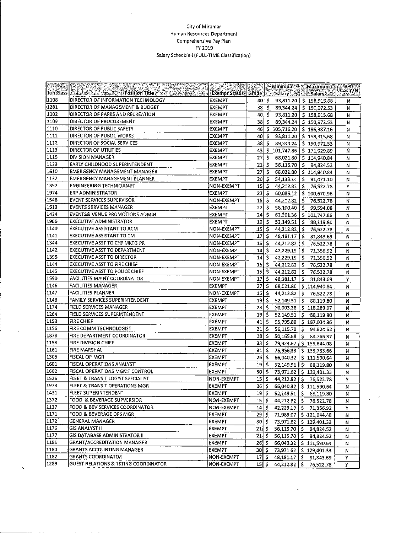#### City of Miramar Human Resources Department Comprehensive Pay Plan FY 2019 Salary Schedule I (FULL-TIME Classification)

 $\bar{z}$ 

| <b>Grand</b> |                                                 | <u>E Cardinal Communication (Maximum Cass / N</u><br>Exempt Status Grade   Salary Call Cassary 22   Execute |                                               |                      |                           |                                        |   |
|--------------|-------------------------------------------------|-------------------------------------------------------------------------------------------------------------|-----------------------------------------------|----------------------|---------------------------|----------------------------------------|---|
|              |                                                 |                                                                                                             |                                               |                      |                           |                                        |   |
| 1108         | DIRECTOR OF INFORMATION TECHNOLOGY              | EXEMPT                                                                                                      | 40 S                                          |                      |                           | 93,811.20 S. 158,915.68                | N |
| 1281         | DIRECTOR OF MANAGEMENT & BUDGET                 | EXEMPT                                                                                                      | 38   \$                                       |                      |                           | 89,344.24   \$150,972.53               | N |
| 1102         | DIRECTOR OF PARKS AND RECREATION                | EXEMPT                                                                                                      | 40 I                                          | $\ddot{\mathcal{L}}$ |                           | $93,811.20$   \$158,915.68             | Ν |
| 1109         | DIRECTOR OF PROCUREMENT                         | EXEMPT                                                                                                      | 38I                                           | -\$                  |                           | $89,344.24$   \$ 150,972.53            | N |
| 1110         | DIRECTOR OF PUBLIC SAFETY                       | <b>EXEMPT</b>                                                                                               | 46                                            |                      |                           | $$105,716.20 \t$196,387.16$            | И |
| 1111         | DIRECTOR OF PUBLIC WORKS                        | EXEMPT                                                                                                      | 401                                           |                      |                           | $5$ 93,811.20 $\frac{1}{5}$ 158,915.68 | N |
| 1112         | DIRECTOR OF SOCIAL SERVICES                     | EXEMPT                                                                                                      | 38I S                                         |                      |                           | 89,344.24   \$150,972.53               | N |
| 1113         | DIRECTOR OF UTILITIES                           | EXEMPT                                                                                                      | 43                                            |                      |                           | $$101,747.86$ $$171,929.89$            | N |
| 1115         | DIVISION MANAGER                                | EXEMPT                                                                                                      | 27                                            | ا \$ا                |                           | 68,021.80   \$114,940.84               | N |
| 1123         | EARLY CHILDHOOD SUPERINTENDENT                  | EXEMPT                                                                                                      | 21                                            | ŝ.                   |                           | 56,115.70 \$ 94,824.52                 | N |
| 1610         | EMERGENCY MANAGEMENT MANAGER                    | <b>EXEMPT</b>                                                                                               | 27                                            | $\mathsf{s}$         |                           | 68,021.80   \$ 114,940.84              | N |
| 1132         | EMERGENCY MANAGEMENT PLANNER                    | EXEMPT                                                                                                      | 20 I                                          | s.                   |                           | $54,133.14$   \$ 91,471.10             | Ν |
| 1392         | <b>ENGINEERING TECHNICIAN FT</b>                | NON-EXEMPT                                                                                                  | $15$ $\sim$                                   |                      |                           | $44,212.82$   \$76,522.78              | Υ |
| 1974         | ERP ADMINISTRATOR                               | <b>EXEMPT</b>                                                                                               | 231                                           | -5                   |                           | 60,085.12   \$ 100,670.96              | N |
| 1548         | EVENT SERVICES SUPERVISOR                       | <b>NON-EXEMPT</b>                                                                                           | $15 \mid 5$                                   |                      |                           | 44,212.82   \$ 76,522.78               | N |
| 1513         | EVENTS SERVICES MANAGER                         | EXEMPT                                                                                                      | 22                                            | Ŝ.                   | 58,100.40 5               | 99,594.08                              | N |
| 1424         | EVENTS& VENUE PROMOTIONS ADMIN                  | EXEMPT                                                                                                      | 24 S                                          |                      |                           | 62,301.36   \$ 101,747.86              | N |
| 1966         | <b>EXECUTIVE ADMINISTRATOR</b>                  | EXEMPT                                                                                                      | 19 \$                                         |                      |                           | 52,149.51   \$ 88,119.80               | Ν |
| 1140         | EXECUTIVE ASSISTANT TO ACM                      | NON-EXEMPT                                                                                                  | $15 \, \overline{\hspace{1ex}}\hspace{1ex}$ 5 |                      |                           | 44,212.82   \$76,522.78                | Ν |
| 1141         | EXECUTIVE ASSISTANT TO CM                       | NON-EXEMPT                                                                                                  | 17                                            | -S                   | $48,181.17$   5           | 81,843.69                              | N |
| 1344         | EXECUTIVE ASST TO CHF MKTG PR                   | NON-EXEMPT                                                                                                  | 15                                            | -\$                  | 44,212.82   \$            | 76.522.78                              | Ν |
| 1142         | EXECUTIVE ASST TO DEPARTMENT                    | NON-EXEMPT                                                                                                  | 14                                            | Š.                   | 42,229.19                 | l'S<br>71,356.92                       | N |
| 1395         | <b>EXECUTIVE ASST TO DIRECTOR</b>               | NON-EXEMPT                                                                                                  | $14 \mid S$                                   |                      | 42,229.19                 | l s<br>71,356.92                       | Ν |
| 1144         | <b>EXECUTIVE ASST TO FIRE CHIEF</b>             | NON-EXEMPT                                                                                                  | $15 \mid 5$                                   |                      | 44,212.82                 | ١ś<br>76,522.78                        | N |
| 1145         | <b>EXECUTIVE ASST TO POLICE CHIEF</b>           | NON-EXEMPT                                                                                                  | $15$ s                                        |                      | 44,212.82                 | ١s<br>76,522.78                        | N |
| 1590         | FACILITIES MAINT COORDINATOR                    | NON-EXEMPT                                                                                                  | 17   S                                        |                      | 48,181.17                 | l \$ -<br>81,843.69                    | Y |
| 1146         | <b>FACILITIES MANAGER</b>                       | <b>EXEMPT</b>                                                                                               | $27 \mid 5$                                   |                      |                           | 68,021.80   \$ 114,940.84              | N |
| 1147         | <b>FACILITIES PLANNER</b>                       | NON-EXEMPT                                                                                                  | 15 I S                                        |                      |                           | 44,212.82   S 76,522.78                | Ν |
| 1148         | <b>FAMILY SERVICES SUPERINTENDENT</b>           | EXEMPT                                                                                                      | 19   S                                        |                      | $52,149.51$   S           | 88,119.80                              | N |
| 1174         | <b>FIELD SERVICES MANAGER</b>                   | <b>EXEMPT</b>                                                                                               | 28 I S                                        |                      | 70,003.28                 | \$118,289.97                           | N |
| 1264         | <b>FIELD SERVICES SUPERINTENDENT</b>            | <b>EXEMPT</b>                                                                                               | $19$ $\sqrt{5}$                               |                      |                           | $52,149.51$ $\mid$ \$ 88,119.80        | N |
| 1153         | FIRE CHIEF                                      | <b>EXEMPT</b>                                                                                               | 41 I S                                        |                      |                           | 95,795.89   \$ 187,034.36              | N |
| 1156         | FIRE COMM TECHNOLOGIST                          | EXEMPT                                                                                                      | $21 \mid S$                                   |                      |                           | $56,115.70$   \$ 94,824.52             | N |
| 1878         | FIRE DEPARTMENT COORDINATOR                     | EXEMPT                                                                                                      | 18   S                                        |                      | 50,165.88                 | $S$ 84,766.37                          | Ν |
| 1158         | <b>FIRE DIVISION CHIEF</b>                      | <b>EXEMPT</b>                                                                                               | $33$ S                                        |                      |                           | 79,924.67   \$155,644.08               | N |
| 1161         | FIRE MARSHAL                                    | <b>EXEMPT</b>                                                                                               | $31$ $\overline{\phantom{1}}$                 |                      |                           | 75,956.33   \$ 133,733.66              | N |
| 1305         | FISCAL OP MGR                                   | EXEMPT                                                                                                      | 26 S                                          |                      | 66,040.32                 | \$111,590.64                           | N |
| 1601         | <b>FISCAL OPERATIONS ANALYST</b>                | EXEMPT                                                                                                      | $19$   5                                      |                      | $52,149.51$ S             | 88,119.80                              | N |
| 1602         | FISCAL OPERATIONS MGMT CONTROL                  | EXEMPT                                                                                                      | 30 S                                          |                      |                           | 73,971.62   \$129,401.33               | N |
| 1526         | FLEET & TRANSIT LOGIST SPECIALIST               | NON-EXEMPT                                                                                                  | $15$ s                                        |                      | $44,212.82$   S           |                                        | Y |
| 1973         | <b>FLEET &amp; TRANSIT OPERATIONS MGR</b>       | EXEMPT                                                                                                      | $26 \mid 5$                                   |                      |                           | 76,522.78                              |   |
| 1431         | FLEET SUPERINTENDENT                            | EXEMPT                                                                                                      | $19 \mid 5$                                   |                      |                           | 66,040.32   \$11,590.64                | Ν |
| 1372         | FOOD & BEVERAGE SUPVERSIOR                      |                                                                                                             |                                               |                      | $52,149.51$ $\mid$ \$     | 88,119.80                              | N |
| 1137         | FOOD & BEV SERVICES COORDINATOR                 | NON-EXEMPT                                                                                                  | $15 \mid 5$                                   |                      | $44,212.82$   \$          | 76,522,78                              | Ν |
| 1171         | FOOD & BEVERAGE OPS MGR                         | NON-EXEMPT<br><b>EXEMPT</b>                                                                                 | 14 S<br>$29 \mid 5$                           |                      | $42,229.19$ $\frac{1}{5}$ | 71,356.92                              | Y |
| 1172         | <b>GENERAL MANAGER</b>                          |                                                                                                             |                                               |                      |                           | 71,989.07   \$ -121,644.48             | Ν |
| 1176         | <b>GIS ANALYST II</b>                           | EXEMPT                                                                                                      | 30 S                                          |                      |                           | 73,971.62   \$129,401.33               | N |
| 1177         | <b>GIS DATABASE ADMINISTRATOR II</b>            | EXEMPT                                                                                                      | 21 S<br>$21 \mid 5$                           |                      |                           | 56,115.70   \$94,824.52                | N |
| 1181         | <b>GRANT/ACCREDITATION MANAGER</b>              | EXEMPT                                                                                                      |                                               |                      | $56,115.70$ $\mid$ \$     | 94,824.52                              | N |
|              |                                                 | EXEMPT                                                                                                      | $26 \frac{1}{5}$                              |                      |                           | 66,040.32   \$111,590.64               | N |
| 1180         | <b>GRANTS ACCOUNTING MANAGER</b>                | EXEMPT                                                                                                      | $30 \mid 5$                                   |                      |                           | 73,971.62 \$129,401.33                 | Ν |
| 1182         | <b>GRANTS COORDINATOR</b>                       | NON-EXEMPT                                                                                                  | $17$ S                                        |                      | 48,181.17 5               | 81.843.69                              | Y |
| 1289         | <b>GUEST RELATIONS &amp; TKTING COORDINATOR</b> | NON-EXEMPT                                                                                                  | $15 \mid 5$                                   |                      | 44,212.82                 | \$<br>76,522.78                        | Y |

 $\ddot{\phantom{1}}$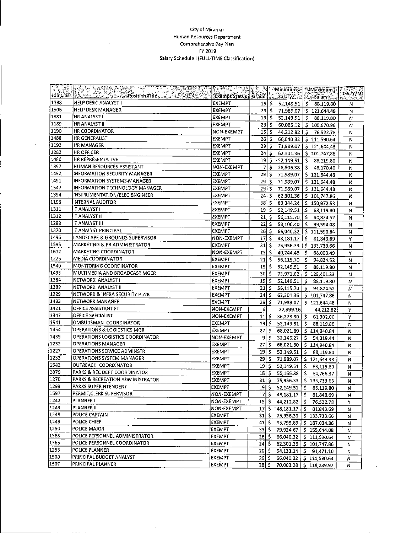#### City of Miramar Human Resources Department Comprehensive Pay Plan FY 2019 Salary Schedule I (FULL-TIME Classification)

| $\mathbb{E}^{\mathbf{r}}$ | <b>SELVER SERVER SERVICE SERVER SERVER SERVER SERVER SERVER SERVER SERVER SERVER SERVER SERVER SERVER SERVER SERV</b> | क्को सम्पाद माध्य प्रान्त होता.<br>जन्म प्राप्त सम्पाद सम्पाद |                               |        |                           | <b>El Minimum 2 Maximum</b>          | 26.5.970          |
|---------------------------|-----------------------------------------------------------------------------------------------------------------------|---------------------------------------------------------------|-------------------------------|--------|---------------------------|--------------------------------------|-------------------|
| Job Class                 |                                                                                                                       |                                                               |                               |        |                           |                                      | tei <u>cium a</u> |
| 1388                      | HELP DESK ANALYST I                                                                                                   | EXEMPT                                                        |                               | ڈ او1  | $52,149.51$   \$          | 88,119.80                            | N                 |
| 1506                      | HELP DESK MANAGER                                                                                                     | <b>EXEMPT</b>                                                 | $29 \mid S \mid$              |        |                           | 71,989.07 \$121,644.48               | N                 |
| 1881                      | HR ANALYST I                                                                                                          | EXEMPT                                                        |                               | 19   S |                           | $52,149.51$ $\binom{5}{9}$ 88,119.80 | N                 |
| 1189                      | HR ANALYST II                                                                                                         | <b>EXEMPT</b>                                                 | $23 \mid S$                   |        |                           | 60,085.12 \$100,670.96               | Ν                 |
| 1190                      | HR COORDINATOR                                                                                                        | NON-EXEMPT                                                    |                               | 15 I S |                           | 44,212.82 \$76,522.78                | N                 |
| 1488                      | HR GENERALIST                                                                                                         | EXEMPT                                                        | $26 \mid \zeta$               |        | 66,040.32                 | \$111,590.64                         | N                 |
| 1192                      | HR MANAGER                                                                                                            | EXEMPT                                                        | 29 I S                        |        |                           | 71,989.07   \$121,644.48             | Ν                 |
| 1282                      | HR OFFICER                                                                                                            | <b>EXEMPT</b>                                                 | $24 \mid 5$                   |        |                           | 62,301.36 \$101,747.86               | N                 |
| 1480                      | HR REPRESENTATIVE                                                                                                     | EXEMPT                                                        | 19 S                          |        |                           | $-52,149.51$   \$ 88,119.80          | N                 |
| 1397                      | HUMAN RESOURCES ASSISTANT                                                                                             | NON-EXEMPT                                                    | 71                            | Ŝ      | $28,506.38$ \$            | 48,170.40                            | N                 |
| 1492                      | INFORMATION SECURITY MANAGER                                                                                          | EXEMPT                                                        | $29$ \$                       |        |                           | 71,989.07   \$121,644.48             | N                 |
| 1491                      | <b>INFORMATION SYSTEMS MANAGER</b>                                                                                    | EXEMPT                                                        | $29$ \$                       |        |                           | 71,989.07   \$ 121,644.48            | N                 |
| 1547                      | <b>INFORMATION TECHNOLOGY MANAGER</b>                                                                                 | EXEMPT                                                        | 29 I S                        |        |                           | 71,989.07   \$ 121,644.48            | N                 |
| 1394                      | INSTRUMENTATION/ELEC ENGINEER                                                                                         | EXEMPT                                                        | 24.5                          |        |                           | $62,301.36$ \$101,747.86             | N                 |
| 1193                      | INTERNAL AUDITOR                                                                                                      | EXEMPT                                                        | 38   \$                       |        | 89,344.24                 | \$150,972.53                         | N                 |
| 1311                      | IT ANALYST I                                                                                                          | EXEMPT                                                        | 19                            | ۱\$    |                           | 52,149.51   \$ 88,119.80             | N                 |
| 1312                      | IT ANALYST II                                                                                                         | EXEMPT                                                        | $21$ $\overline{\phantom{1}}$ |        | 56,115.70                 | $5$ 94,824.52                        | N                 |
| 1283                      | IT ANALYST III                                                                                                        | <b>EXEMPT</b>                                                 | $22$   \$                     |        | 58.100.40 S               | 99,594.08                            | N                 |
| 1370                      | IT ANALYST PRINCIPAL                                                                                                  | EXEMPT                                                        | $26 \mid 5$                   |        |                           | 66,040.32   \$111.590.64             | N                 |
| 1496                      | LANDSCAPE & GROUNDS SUPERVISOR                                                                                        | NON-EXEMPT                                                    | $17$ s                        |        | 48,181.17                 | 581,843.69                           | Y                 |
| 1595                      | MARKETING & PR ADMINISTRATOR                                                                                          | EXEMPT                                                        | 31 S                          |        | 75,956.33                 | \$133,733.66                         | N                 |
| 1612                      | MARKETING COORDINATOR                                                                                                 | NON-EXEMPT                                                    | $13$ \$                       |        | 40,244.48                 | S.<br>68,003.49                      | Υ                 |
| 1225                      | MEDIA COORDINATOR                                                                                                     | EXEMPT                                                        | $21 \mid 5$                   |        | 56,115.70                 | \$<br>94,824.52                      | N                 |
| 1540                      | <b>MONITORING COORDINATOR</b>                                                                                         | EXEMPT                                                        | $19$ $\frac{1}{5}$            |        | 52,149.51                 | \$<br>88,119.80                      | N                 |
| 1493                      | MULTIMEDIA AND BROADCAST MGER                                                                                         | <b>EXEMPT</b>                                                 | 30 S                          |        | 73,971.62                 | 5.129,401.33                         | N                 |
| 1384                      | NETWORK ANALYST I                                                                                                     | <b>EXEMPT</b>                                                 | 19 5                          |        | 52,149.51                 | Š.<br>88,119.80                      | N                 |
| 1389                      | NETWORK ANALYST II                                                                                                    | <b>EXEMPT</b>                                                 | 21 S                          |        | 56,115.70                 | S.<br>94,824.52                      | N                 |
| 1229                      | NETWORK & INFRA SECURITY PLNR                                                                                         | EXEMPT                                                        | 24 \$                         |        | 62,301.36                 | \$101,747.86                         | N                 |
| $\sqrt{1433}$             | NETWORK MANAGER                                                                                                       | EXEMPT                                                        | 29                            | l \$   | 71,989.07                 | \$121,644.48                         | N                 |
| 1421                      | OFFICE ASSISTANT FT                                                                                                   | NON-EXEMPT                                                    | 6                             |        | 27,999.16                 | 44,212.82                            | Y                 |
| 1347                      | OFFICE SPECIALIST                                                                                                     | NON-EXEMPT                                                    | 11                            | ŝ      | $36,278.30$ $\frac{2}{3}$ | 61,302.00                            | Υ                 |
| 1541                      | OMBUDSMAN COORDINATOR                                                                                                 | <b>EXEMPT</b>                                                 | 19 I S                        |        | 52,149.51                 | S.<br>88,119.80                      | N                 |
| 1454                      | OPERATIONS & LOGICSTICS MGR                                                                                           | <b>EXEMPT</b>                                                 | 27                            | Ŝ.     | 68,021.80                 | \$114,940.84                         | N                 |
| 1439                      | OPERATIONS LOGISTICS COORDINATOR                                                                                      | NON-EXEMPT                                                    | 9                             | Ŝ.     | 32,146.27                 | s.<br>54,319.44                      | N                 |
| 1232                      | OPERATIONS MANAGER                                                                                                    | EXEMPT                                                        | 27                            | -Ŝ     |                           | 68,021.80   \$ 114,940.84            | Ν                 |
| 1227                      | OPERATIONS SERVICE ADMINSTR                                                                                           | EXEMPT                                                        | 19                            | -5     |                           | 52,149.51   \$ 88,119.80             | N                 |
| 1233                      | <b>OPERATIONS SYSTEM MANAGER</b>                                                                                      | EXEMPT                                                        | 29                            | ۱\$    |                           | 71,989.07 \$121,644.48               | Ν                 |
| 1542                      | OUTREACH COORDINATOR                                                                                                  | EXEMPT                                                        | 19 I S                        |        | 52,149.51                 | Ŝ.<br>88,119.80                      | N                 |
| 1879                      | PARKS & REC DEPT COORDINATOR                                                                                          | EXEMPT                                                        | 18                            | -\$    | 50,165.88                 | \$<br>84,766.37                      | N                 |
| 1270                      | PARKS & RECREATION ADMINISTRATOR                                                                                      | <b>EXEMPT</b>                                                 | 31                            | -\$    |                           | 75,956.33   \$ 133,733.66            | N                 |
| 1299                      | PARKS SUPERINTENDENT                                                                                                  | EXEMPT                                                        | 19   \$                       |        | $52,149.51$ $\uparrow$    | 88,119.80                            | N                 |
| 1597                      | PERMIT, CLERK SUPERVISOR                                                                                              | <b>NON-EXEMPT</b>                                             | 17   \$                       |        | $48,181.17$   \$          | 81,843.69                            | N                 |
| 1242                      | PLANNER I                                                                                                             | NON-EXEMPT                                                    | $15 \mid \xi$                 |        | 44,212.82 \$              | 76,522.78                            | Υ                 |
| 1243                      | PLANNER II                                                                                                            | NON-EXEMPT                                                    | $17 \mid \xi$                 |        | $148,181.17$ $\mid$ \$    | 81,843.69                            | N                 |
| 1248                      | POLICE CAPTAIN                                                                                                        | <b>EXEMPT</b>                                                 | 31   \$                       |        |                           | 75,956.33   \$ 133,733.66            | N                 |
| 1249                      | POLICE CHIEF                                                                                                          | EXEMPT                                                        | $41 \,$ 5                     |        |                           | 95,795.89   \$187,034.36             | N                 |
| 1250                      | POLICE MAJOR                                                                                                          | <b>EXEMPT</b>                                                 | 33   \$                       |        | 79,924.67                 | \$155,644.08                         | Ν                 |
| 1385                      | POLICE PERSONNEL ADMINISTRATOR                                                                                        | <b>EXEMPT</b>                                                 | 26   \$                       |        | 66,040.32                 | \$111,590.64                         | Ν                 |
| 1365                      | POLICE PERSONNEL COORDINATOR                                                                                          | <b>EXEMPT</b>                                                 | $24 \, \frac{1}{2}$           |        |                           | 62,301.36   \$ 101,747.86            | Ν                 |
| 1253                      | POLICE PLANNER                                                                                                        | <b>EXEMPT</b>                                                 | 20 S                          |        |                           |                                      | N                 |
| 1509                      | PRINCIPAL BUDGET ANALYST                                                                                              | <b>EXEMPT</b>                                                 | 26   S                        |        |                           | 66,040.32   \$ 111,590.64            | Ν                 |
| 1507                      | PRINCIPAL PLANNER                                                                                                     | <b>EXEMPT</b>                                                 |                               |        |                           | 28 \$ 70,003.28 \$ 118,289.97        | N                 |

×,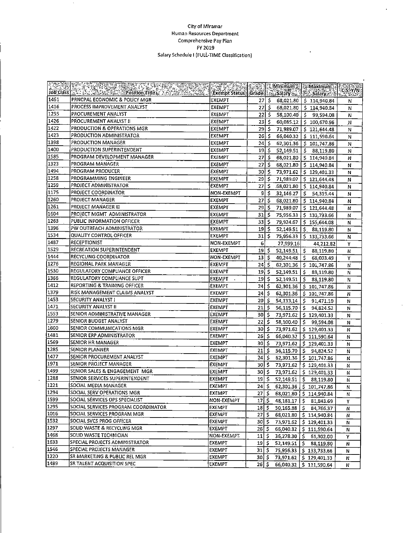#### **CityofMiramar HumanResources Department ComprehensIve PayPlan FY2019** Salary Schedule I (FULL-TIME Classification)

 $\ddot{\phantom{a}}$ 

| <b>POSSES</b><br>Job Class | ko za 1965. u obrazu za predstavanje predstava | <b>TERRATOR</b><br>Exempt Status   Grade   22, Salary 2014   2015 Salary 2014 |                    |         |                  | <b>EXAMINATION AND DESCRIPTION OF A REAL PROPERTY OF A REAL PROPERTY OF A REAL PROPERTY OF A REAL PROPERTY OF A R</b> |   |
|----------------------------|------------------------------------------------|-------------------------------------------------------------------------------|--------------------|---------|------------------|-----------------------------------------------------------------------------------------------------------------------|---|
| 1461                       | PRNCPAL ECONOMIC & POLICY MGR                  | EXEMPT                                                                        | $27 \mid 5$        |         |                  | 68,021.80   \$114,940.84                                                                                              | Ν |
| 1416                       | PROCESS IMPROVEMENT ANALYST                    | <b>EXEMPT</b>                                                                 |                    | 27   \$ |                  | 68,021.80   \$114,940.84                                                                                              | N |
| 1255                       | PROCUREMENT ANALYST                            | EXEMPT                                                                        | $22 \mid 5$        |         |                  | 58,100.40 5 99,594.08                                                                                                 | N |
| 1426                       | PROCUREMENT ANALYST II                         | <b>EXEMPT</b>                                                                 | 23 I S             |         |                  | 60,085.12   \$ 100,670.96                                                                                             | N |
| 1422                       | PRODUCTION & OPERATIONS MGR                    | <b>EXEMPT</b>                                                                 | 295                |         |                  | 71,989.07   \$121,644.48                                                                                              | N |
| 1423                       | PRODUCTION ADMINISTRATOR                       | <b>EXEMPT</b>                                                                 | 26 S               |         |                  | 66,040.32   \$11,590.64                                                                                               | N |
| 1398                       | PRODUCTION MANAGER                             | EXEMPT                                                                        | $24$ \$            |         |                  | 62,301.36   \$101,747.86                                                                                              | Ν |
| 1400                       | PRODUCTION SUPERINTENDENT                      | <b>EXEMPT</b>                                                                 | $19$ 5             |         |                  | $52,149.51$ $\binom{6}{5}$ 88,119.80                                                                                  | N |
| 1585                       | PROGRAM DEVELOPMENT MANAGER                    | EXEMPT                                                                        | $27$ \$            |         |                  | 68,021.80   \$ 114,940.84                                                                                             | Ν |
| 1323                       | PROGRAM MANAGER                                | <b>EXEMPT</b>                                                                 | $27$ s             |         |                  | 68,021.80   \$114,940.84                                                                                              | Ν |
| 1494                       | PROGRAM PRODUCER                               | EXEMPT                                                                        | 30 S               |         |                  | 73,971.62   \$129,401.33                                                                                              | N |
| 1258                       | PROGRAMMING ENGINEER                           | EXEMPT                                                                        | \$  29             |         |                  | 71,989.07   \$121,644.48                                                                                              | N |
| 1259                       | PROJECT ADMINISTRATOR                          | EXEMPT                                                                        | 27                 | ء ا     | 68,021.80        | \$ 114,940.84                                                                                                         | N |
| 1175                       | PROJECT COORDINATOR                            | NON-EXEMPT                                                                    | \$  9              |         | 32,146.27        | $5$ 54,319.44                                                                                                         | N |
| 1260                       | PROJECT MANAGER                                | EXEMPT                                                                        | 27                 | इ       |                  | 68,021.80   \$ 114,940.84                                                                                             | N |
| 1261                       | <b>PROJECT MANAGER III</b>                     | EXEMPT                                                                        | $29$ \$            |         | 71,989.07        | \$121,644.48                                                                                                          | N |
| 1604                       | PROJECT MGMT ADMINISTRATOR                     | EXEMPT                                                                        | 31l S              |         |                  | 75,956.33 \$ 133,733.66                                                                                               | N |
| 1263                       | PUBLIC INFORMATION OFFICER                     | EXEMPT                                                                        | 33 \$              |         | 79,924.67        | 5 155,644.08                                                                                                          | N |
| 1396                       | PW OUTREACH ADMINISTRATOR                      | EXEMPT                                                                        | 19   \$            |         |                  | $52,149.51$ $\frac{5}{5}$ 88,119.80                                                                                   | N |
| 1534                       | <b>QUALITY CONTROL OFFICER</b>                 | EXEMPT                                                                        | 31                 | l \$    | 75,956.33        | \$133,733.66                                                                                                          | N |
| 1487                       | RECEPTIONIST                                   | NON-EXEMPT                                                                    | 6                  |         | 27,999.16        | 44,212.82                                                                                                             | Υ |
| 1529                       | RECREATION SUPERINTENDENT                      | EXEMPT                                                                        | 19                 | ا \$    | 52,149.51        | -5<br>88,119.80                                                                                                       | N |
| 1444                       | RECYCLING COORDINATOR                          | NON-EXEMPT                                                                    | 13   \$            |         | 40,244.48        | \$68,003.49                                                                                                           | Υ |
| 1276                       | REGIONAL PARK MANAGER                          | EXEMPT                                                                        | $24$ \$            |         | 62,301.36        | \$101,747.86                                                                                                          | И |
| 1530                       | REGULATORY COMPLIANCE OFFICER                  | EXEMPT                                                                        | $19$ \$            |         | 52,149.51        | -\$<br>88.119.80                                                                                                      | N |
| 1366                       | REGULATORY COMPLIANCE SUPT                     | EXEMPT                                                                        | 19 \$              |         | 52,149.51        | S.<br>88,119.80                                                                                                       | N |
| 1412                       | REPORTING & TRAINING OFFICER                   | EXEMPT                                                                        | $24$ \$            |         |                  | 62,301.36   \$ 101,747.86                                                                                             | N |
| 1379                       | RISK MANAGEMENT CLAIMS ANALYST                 | EXEMPT                                                                        | 24 I S             |         | 62,301.36        | 5 101,747.86                                                                                                          | N |
| 1453                       | SECURITY ANALYST I                             | EXEMPT                                                                        | 20                 | ۱\$     | 54,133.14        | \$.<br>91,471.10                                                                                                      | N |
| 1471                       | SECURITY ANALYST II                            | <b>EXEMPT</b>                                                                 | 21 5               |         | $56,115.70$   \$ | 94,824.52                                                                                                             | N |
| 1553                       | SENIOR ADMINISTRATIVE MANAGER                  | <b>EXEMPT</b>                                                                 | $30 \mid 5$        |         |                  | 73,971.62   \$129,401.33                                                                                              | N |
| 1279                       | SENIOR BUDGET ANALYST                          | EXEMPT                                                                        | 22 IS              |         |                  | 58,100.40   \$ 99,594.08                                                                                              | N |
| 1600                       | SENIOR COMMUNICATIONS MGR                      | EXEMPT                                                                        | 30 I S             |         | 73,971.62        | \$129,401.33                                                                                                          | Ν |
| $\sqrt{1481}$              | SENIOR ERP ADMINISTRATOR                       | EXEMPT                                                                        | 26                 | ۱\$     | 66,040.32        | \$111,590.64                                                                                                          | N |
| 1569                       | SENIOR HR MANAGER                              | EXEMPT                                                                        | $30 \mid 5$        |         | 73,971.62        | 5 129,401.33                                                                                                          | N |
| 1285                       | SENIOR PLANNER                                 | EXEMPT                                                                        | 21                 | -\$     |                  | 56,115.70   \$94,824.52                                                                                               | N |
| 1477                       | SENIOR PROCUREMENT ANALYST                     | <b>EXEMPT</b>                                                                 | 24                 | -5      | 62,301.36        | \$101,747.86                                                                                                          | N |
| $\sqrt{1971}$              | SENIOR PROJECT MANAGER                         | EXEMPT                                                                        | 30I S              |         | 73,971.62        | \$129,401.33                                                                                                          | N |
| $\sqrt{1499}$              | SENIOR SALES & ENGAGEMENT MGR                  | EXEMPT                                                                        | 30 I S             |         | 73,971.62        | \$129,401.33                                                                                                          | Ν |
| 1288                       | SENIOR SERVICES SUPERINTENDENT                 | <b>EXEMPT</b>                                                                 | 19 <sup>1</sup>    | ۰\$     | 52,149.51        | \$88,119.80                                                                                                           | N |
| 1221                       | SOCIAL MEDIA MANAGER                           | EXEMPT                                                                        | 24 S               |         |                  | $62,301.36$   \$ 101,747.86                                                                                           | N |
| $\sqrt{1294}$              | SOCIAL SERV OPERATIONS MGR                     | EXEMPT                                                                        | $27 \mid 5$        |         |                  | 68,021.80   \$ 114,940.84                                                                                             | N |
| $\sqrt{1599}$              | SOCIAL SERVICES OPS SPECIALIST                 | NON-EXEMPT                                                                    | $17$ $\sim$        |         |                  | 48,181.17   \$ 81,843.69                                                                                              | Y |
| $\sqrt{1295}$              | SOCIAL SERVICES PROGRAM COORDINATOR            | <b>EXEMPT</b>                                                                 | 18 S               |         | 50,165.88        | S.<br>84,766.37                                                                                                       | Ν |
| 1016                       | SOCIAL SERVICES PROGRAM MGR                    | <b>EXEMPT</b>                                                                 | 27 IS              |         |                  | 68,021.80   \$114,940.84                                                                                              | Ν |
| 1532                       | SOCIAL SVCS PROG OFFICER                       | EXEMPT                                                                        | 30   \$            |         | 73,971.62        | \$129,401.33                                                                                                          | N |
| 1297                       | SOLID WASTE & RECYCLING MGR                    | EXEMPT                                                                        | $26 \mid 5$        |         |                  | 66,040.32   \$11,590.64                                                                                               | N |
| 1468                       | SOLID WASTE TECHNICIAN                         | NON-EXEMPT                                                                    | 11   S             |         | 36,278.30 \$     | 61,302.00                                                                                                             | Υ |
| 1633                       | SPECIAL PROJECTS ADMINISTRATOR                 | EXEMPT                                                                        | $19 \mid 5$        |         | $52,149.51$   \$ | 88,119.80                                                                                                             | Ν |
| 1546                       | SPECIAL PROJECTS MANAGER                       | EXEMPT                                                                        | 31 S               |         | 75,956.33        | \$133,733.66                                                                                                          | Ν |
| 1220                       | SR MARKETING & PUBLIC REL MGR                  | <b>EXEMPT</b>                                                                 | 30) \$             |         |                  | 73,971.62   \$129,401.33                                                                                              | N |
| 1489                       | SR TALENT ACQUISITION SPEC                     | EXEMPT                                                                        | $25$ $\frac{2}{3}$ |         | 66,040.32        | \$111,590.64                                                                                                          | Ν |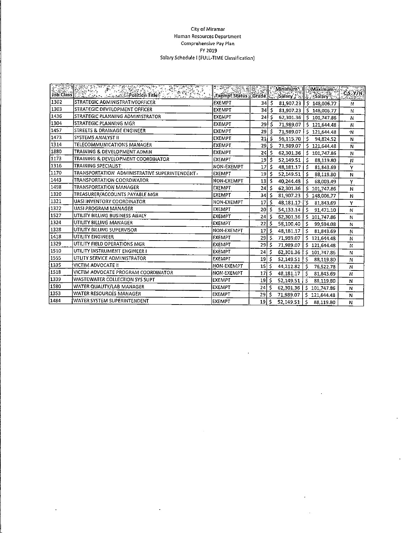#### **CityofMiramar Human Resources Department Comprehensive PayPlan FY2019 SalarySchedule I(FULL-TIME Classification)**

| 计图数字 | Andri Print Company<br>e en distri                               | <u>बर् देखकर मृत्यूद</u>        |                    |      | <b>Minimum</b> | Maximum          |             |
|------|------------------------------------------------------------------|---------------------------------|--------------------|------|----------------|------------------|-------------|
|      | Job Class 200 200 . Concert Position Titley<br><u> SANSAN, 1</u> | Exempt Status   Grade   Science |                    |      |                | នៃ និងនឹងស្រុក ។ | C.S. Y/N    |
| 1302 | STRATEGIC ADMINISTRATIVEOFFICER                                  | <b>EXEMPT</b>                   | 34   \$            |      | 81,907.23      | \$148,006.77     | N           |
| 1303 | STRATEGIC DEVELOPMENT OFFICER                                    | <b>EXEMPT</b>                   | 34 S               |      | 81,907.23      | \$148,006.77     | N           |
| 1436 | STRATEGIC PLANNING ADMINISTRATOR                                 | <b>EXEMPT</b>                   | 24 I               | Ś    | 62,301.36      | \$101,747.86     | N           |
| 1304 | STRATEGIC PLANNING MGR                                           | <b>EXEMPT</b>                   | 29 l               | l s  | 71,989.07      | \$121,644.48     | N           |
| 1457 | STREETS & DRAINAGE ENGINEER                                      | <b>EXEMPT</b>                   | 29 \$              |      | 71,989.07      | \$121,644.48     | ٠N          |
| 1473 | SYSTEMS ANALYST II                                               | <b>EXEMPT</b>                   | $21 \mid 5$        |      | 56,115.70      | ۰Ś<br>94.824.52  | N           |
| 1314 | TELECOMMUNICATIONS MANAGER                                       | <b>EXEMPT</b>                   | $29 \mid \zeta$    |      | 71,989.07      | \$121,644.48     | N           |
| 1880 | TRAINING & DEVELOPMENT ADMIN                                     | <b>EXEMPT</b>                   | 24 S               |      | 62,301.36      | Ś.<br>101,747.86 | N           |
| 1173 | TRAINING & DEVELOPMENT COORDINATOR                               | <b>EXEMPT</b>                   | 19 S               |      | 52.149.51      | Ŝ<br>88,119.80   | N           |
| 1316 | TRAINING SPECIALIST                                              | NON-EXEMPT                      | $17$ s             |      | 48, 181. 17    | Š.<br>81,843.69  | Y           |
| 1170 | TRANSPORTATION ADMINISTRATIVE SUPERINTENDENT.                    | <b>EXEMPT</b>                   | $19$ $\frac{2}{3}$ |      | 52,149.51      | \$<br>88,119.80  | N           |
| 1443 | TRANSPORTATION COORDINATOR                                       | NON-EXEMPT                      | $13$ $\frac{1}{5}$ |      | 40,244.48      | Ś.<br>68,003.49  | Y           |
| 1498 | <b>TRANSPORTATION MANAGER</b>                                    | <b>EXEMPT</b>                   | 24 \$              |      | 62,301.36      | Ś.<br>101,747.86 | N           |
| 1320 | TREASURER/ACCOUNTS PAYABLE MGR                                   | <b>EXEMPT</b>                   | 34 \$              |      | 81,907.23      | \$148,006.77     | N           |
| 1321 | UASI INVENTORY COORDINATOR                                       | NON-EXEMPT                      | 17                 | l s  | 48,181.17      | ۰s<br>81,843.69  | Y           |
| 1322 | UASI PROGRAM MANAGER                                             | EXEMPT                          | 20                 | -Ŝ   | 54,133.14      | Ŝ.<br>91,471.10  | N           |
| 1527 | UTILITY BILLING BUSINESS ANALY                                   | EXEMPT                          | 24                 | l \$ | 62,301.36      | \$101,747.86     | N           |
| 1324 | UTILITY BILLING MANAGER                                          | EXEMPT                          | 22                 | ۱\$  | 58,100.40      | \$<br>99,594.08  | N           |
| 1328 | UTILITY BILLING SUPERVISOR                                       | NON-EXEMPT                      | 17                 | ۱ś   | 48,181.17      | Ŝ.<br>81,843.69  | N           |
| 1418 | UTILITY ENGINEER                                                 | <b>EXEMPT</b>                   | 29                 | ۱\$  | 71,989.07      | \$121,644.48     | $\mathbf N$ |
| 1329 | UTILITY FIELD OPERATIONS MGR                                     | EXEMPT                          | 29                 | -\$  | 71,989.07      | Ś<br>121,644.48  | N           |
| 1510 | UTILITY INSTRUMENT ENGINEER I                                    | <b>EXEMPT</b>                   | 24                 | \$   | 62,301.36      | \$101,747.86     | N           |
| 1555 | UTLITY SERVICE ADMINISTRATOR                                     | <b>EXEMPT</b>                   | 19                 | \$   | 52,149.51      | Ś.<br>88,119.80  | N           |
| 1335 | <b>VICTIM ADVOCATE II</b>                                        | <b>NON-EXEMPT</b>               | 15 <sub>2</sub>    | ا \$ | 44,212.82      | Ś.<br>76,522.78  | N           |
| 1518 | VICTIM ADVOCATE PROGRAM COORDINATOR                              | NON-EXEMPT                      | 17                 | \$   | 48,181.17      | \$<br>81,843.69  | N           |
| 1339 | WASTEWATER COLLECTION SYS SUPT                                   | <b>EXEMPT</b>                   | 19                 | -\$  | 52,149.51      | S<br>88,119.80   | N           |
| 1580 | WATER QUALITY/LAB MANAGER                                        | EXEMPT                          | 24                 | ۱\$  | 62,301.36      | \$<br>101,747.86 | N           |
| 1353 | WATER RESOURCES MANAGER                                          | <b>EXEMPT</b>                   | 29                 | 5    | 71,989.07      | \$121,644.48     | N           |
| 1484 | WATER SYSTEM SUPERINTENDENT                                      | <b>EXEMPT</b>                   | 19                 | -S   | 52,149.51      | Š.<br>88,119.80  | N           |

 $\hat{\boldsymbol{\cdot} }$ 

 $\ddot{\phantom{1}}$ 

 $\ddot{\phantom{1}}$ 

 $\bar{z}$ 

 $\ddot{\phantom{a}}$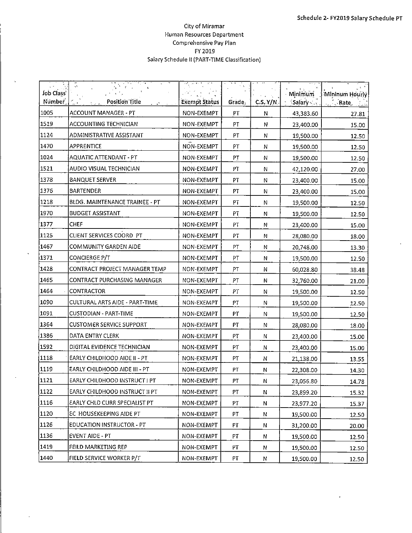$\hat{\mathbf{r}}$ 

#### **City of Miramar Human ResourcesDepartment Comprehensive Pay Plan FY2019** Salary Schedule II (PART-TIME Classification)

| Job Class | ų\$                                  |               | 医型     |             | Minimum                                            | Mininum Hourly |
|-----------|--------------------------------------|---------------|--------|-------------|----------------------------------------------------|----------------|
| Number,   | Position Title<br>يعابره             | Exempt Status | Grade, | C.S. Y/N    | $\mathsf{S}$ alary $\mathsf{S} \subset \mathsf{S}$ | <b>F. Rate</b> |
| 1005      | ACCOUNT MANAGER - PT                 | NON-EXEMPT    | PT     | N           | 43,383.60                                          | 27.81          |
| 1519      | ACCOUNTING TECHNICIAN                | NON-EXEMPT    | PT     | ${\sf N}$   | 23,400.00                                          | 15.00          |
| 1124      | ADMINISTRATIVE ASSISTANT             | NON-EXEMPT    | PT     | N           | 19,500.00                                          | 12.50          |
| 1470      | APPRENTICE                           | NON-EXEMPT    | PT     | N           | 19,500.00                                          | 12.50          |
| 1024      | AQUATIC ATTENDANT - PT               | NON-EXEMPT    | PT     | N           | 19,500.00                                          | 12.50          |
| 1521      | AUDIO VISUAL TECHNICIAN              | NON-EXEMPT    | PT     | $\mathsf N$ | 42,120.00                                          | 27.00          |
| 1378      | <b>BANQUET SERVER</b>                | NON-EXEMPT    | PT     | N           | 23,400.00                                          | 15.00          |
| 1376      | <b>BARTENDER</b>                     | NON-EXEMPT    | PT     | N           | 23,400.00                                          | 15.00          |
| 1218      | BLDG. MAINTENANCE TRAINEE - PT       | NON-EXEMPT    | PT     | ${\sf N}$   | 19,500.00                                          | 12.50          |
| 1970      | <b>BUDGET ASSISTANT</b>              | NON-EXEMPT    | PT     | N           | 19,500.00                                          | 12.50          |
| 1377      | CHEF                                 | NON-EXEMPT    | PT     | ${\sf N}$   | 23,400.00                                          | 15.00          |
| 1125      | CLIENT SERVICES COORD PT             | NON-EXEMPT    | PT     | N           | 28,080.00                                          | 18.00          |
| 1467      | COMMUNITY GARDEN AIDE                | NON-EXEMPT    | PT     | ${\sf N}$   | 20,748.00                                          | 13.30          |
| 1371      | CONCIERGE P/T                        | NON-EXEMPT    | PT     | ${\sf N}$   | 19,500.00                                          | 12.50          |
| 1428      | CONTRACT PROJECT MANAGER TEMP        | NON-EXEMPT    | PT     | N           | 60,028.80                                          | 38.48          |
| 1465      | CONTRACT PURCHASING MANAGER          | NON-EXEMPT    | PT     | Ν           | 32,760.00                                          | 21.00          |
| 1464      | CONTRACTOR                           | NON-EXEMPT    | PT     | N           | 19,500.00                                          | 12.50          |
| 1090      | CULTURAL ARTS AIDE - PART-TIME       | NON-EXEMPT    | PT     | ${\sf N}$   | 19,500.00                                          | 12.50          |
| 1091      | CUSTODIAN - PART-TIME                | NON-EXEMPT    | PT     | ${\sf N}$   | 19,500.00                                          | 12.50          |
| 1364      | <b>CUSTOMER SERVICE SUPPORT</b>      | NON-EXEMPT    | PT     | N           | 28,080.00                                          | 18.00          |
| 1386      | DATA ENTRY CLERK                     | NON-EXEMPT    | PT     | N           | 23,400.00                                          | 15.00          |
| 1592      | DIGITAL EVIDENCE TECHNICIAN          | NON-EXEMPT    | PT     | N           | 23,400.00                                          | 15.00          |
| 1118      | EARLY CHILDHOOD AIDE II - PT         | NON-EXEMPT    | PT     | N           | 21,138.00                                          | 13.55          |
| 1119      | EARLY CHILDHOOD AIDE III - PT        | NON-EXEMPT    | PT     | N           | 22,308.00                                          | 14.30          |
| 1121      | EARLY CHILDHOOD INSTRUCT I PT        | NON-EXEMPT    | PT     | N           | 23,056.80                                          | 14.78          |
| 1122      | EARLY CHILDHOOD INSTRUCT II PT       | NON-EXEMPT    | PT     | N           | 23,899.20                                          | 15.32          |
| 1116      | <b>EARLY CHLD CURR SPECIALIST PT</b> | NON-EXEMPT    | PT     | N           | 23,977.20                                          | 15.37          |
| 1120      | EC HOUSEKEEPING AIDE PT              | NON-EXEMPT    | PТ     | N           | 19,500.00                                          | 12.50          |
| 1126      | EDUCATION INSTRUCTOR - PT            | NON-EXEMPT    | РT     | N           | 31,200.00                                          | 20.00          |
| 1136      | <b>EVENT AIDE - PT</b>               | NON-EXEMPT    | PT     | N           | 19,500.00                                          | 12.50          |
| 1419      | FEILD MARKETING REP                  | NON-EXEMPT    | PT     | N           | 19,500.00                                          | 12.50          |
| 1440      | FIELD SERVICE WORKER P/T             | NON-EXEMPT    | PT     | ${\bf N}$   | 19,500.00                                          | 12.50          |

 $\ddot{\phantom{a}}$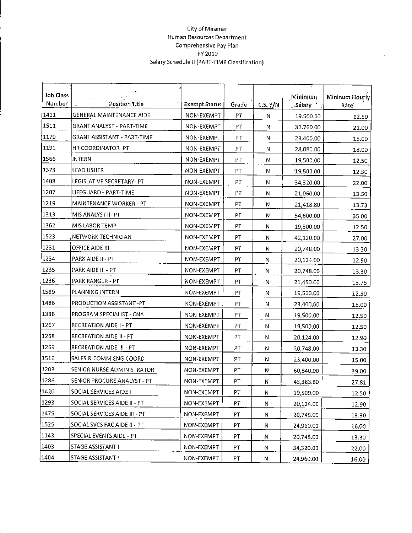#### **CityofMiramar Human ResourcesDepartment Comprehensive Pay Plan FY2019** Salary Schedule II (PART-TIME Classification)

| Job Class<br>Number | Position Title                | <b>Exempt Status</b> | Grade | C.S. Y/N     | Minimum<br><b>Salary</b> | Mininum Hourly<br>Rate |
|---------------------|-------------------------------|----------------------|-------|--------------|--------------------------|------------------------|
| 1411                | GENERAL MAINTENANCE AIDE      | NON-EXEMPT           | PT    | Ν            | 19,500.00                | 12.50                  |
| 1511                | GRANT ANALYST - PART-TIME     | NON-EXEMPT           | PT    | N            | 32,760.00                | 21.00                  |
| 1179                | GRANT ASSISTANT - PART-TIME   | NON-EXEMPT           | PT    | N            | 23,400.00                | 15.00                  |
| 1191                | HR COORDINATOR PT             | NON-EXEMPT           | PT    | N            | 28,080.00                | 18.00                  |
| 1566                | INTERN                        | NON-EXEMPT           | PT    | N            | 19,500.00                | 12.50                  |
| 1373                | <b>LEAD USHER</b>             | NON-EXEMPT           | PT    | N            | 19,500.00                | 12.50                  |
| 1408                | LEGISLATIVE SECRETARY- PT     | NON-EXEMPT           | PT    | Ν            | 34,320.00                | 22.00                  |
| 1207                | LIFEGUARD - PART-TIME         | NON-EXEMPT           | PT    | N            | 21,060.00                | 13.50                  |
| 1219                | MAINTENANCE WORKER - PT       | NON-EXEMPT           | PT    | N            | 21,418.80                | 13.73                  |
| 1313                | MIS ANALYST II- PT            | NON-EXEMPT           | PT    | N            | 54,600.00                | 35.00                  |
| 1362                | MIS LABOR TEMP                | NON-EXEMPT           | PT    | N            | 19,500.00                | 12.50                  |
| 1523                | NETWORK TECHNICIAN            | NON-EXEMPT           | PT    | N            | 42,120.00                | 27.00                  |
| 1231                | OFFICE AIDE III               | NON-EXEMPT           | PT    | N            | 20,748.00                | 13.30                  |
| 1234                | PARK AIDE II - PT             | NON-EXEMPT           | PT    | N            | 20,124.00                | 12.90                  |
| 1235                | PARK AIDE III - PT            | NON-EXEMPT           | PT    | N            | 20,748.00                | 13.30                  |
| 1236                | PARK RANGER - PT              | NON-EXEMPT           | PT    | N            | 21,450.00                | 13.75                  |
| 1589                | PLANNING INTERN               | NON-EXEMPT           | PT    | N            | 19,500.00                | 12.50                  |
| 1486                | PRODUCTION ASSISTANT -PT      | NON-EXEMPT           | PT    | N            | 23,400.00                | 15.00                  |
| 1336                | PROGRAM SPECIALIST - CNA      | NON-EXEMPT           | РŢ    | N            | 19,500.00                | 12.50                  |
| 1267                | RECREATION AIDE I - PT        | NON-EXEMPT           | PT    | Ν            | 19,500.00                | 12.50                  |
| 1268                | RECREATION AIDE II - PT       | NON-EXEMPT           | PT    | $\mathsf{N}$ | 20,124.00                | 12.90                  |
| 1269                | RECREATION AIDE III - PT      | NON-EXEMPT           | PT    | N            | 20,748.00                | 13.30                  |
| 1516                | SALES & COMM ENG COORD        | NON-EXEMPT           | PT    | N            | 23,400.00                | 15.00                  |
| 1203                | SENIOR NURSE ADMINISTRATOR    | NON-EXEMPT           | PT    | N            | 60,840.00                | 39.00                  |
| 1286                | SENIOR PROCURE ANALYST - PT   | NON-EXEMPT           | PT    | N            | 43,383.60                | 27.81                  |
| 1420                | SOCIAL SERVICES AIDE I        | NON-EXEMPT           | PT    | N            | 19,500.00                | 12.50                  |
| 1293                | SOCIAL SERVICES AIDE II - PT  | NON-EXEMPT           | PT    | N            | 20,124.00                | 12.90                  |
| 1475                | SOCIAL SERVICES AIDE III - PT | NON-EXEMPT           | PT    | N            | 20,748.00                | 13.30                  |
| 1525                | SOCIAL SVCS FAC AIDE II - PT  | NON-EXEMPT           | PT    | N            | 24,960.00                | 16.00                  |
| 1143]               | SPECIAL EVENTS AIDE - PT      | NON-EXEMPT           | PT    | Ν            | 20,748.00                | 13.30                  |
| 1403                | STAGE ASSISTANT I             | NON-EXEMPT           | PT    | N            | 34,320.00                | 22.00                  |
| 1404                | STAGE ASSISTANT II            | NON-EXEMPT           | PT.   | N            | 24,960.00                | 16.00                  |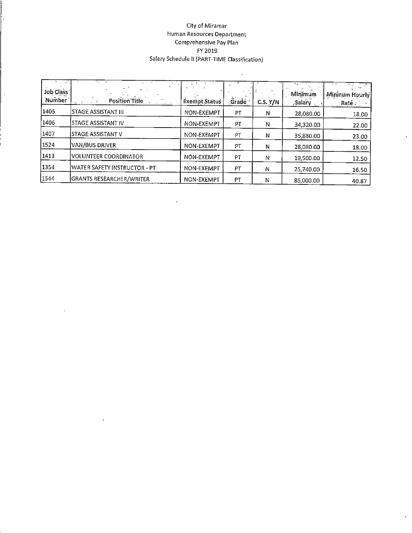#### City of Miramar Human Resources Department Comprehensive Pay Plan FY 2019 Salary Schedule II (PART-TIME Classification)

 $\hat{\mathcal{A}}$ 

 $\hat{\mathbf{v}}$ 

 $\mathbf{r}$ 

| æπ<br>Job Class<br>Number | . .<br>Position Title           | Exempt Status | .<br>Grade | C.S. Y/N | Minimum<br>"Salary | Mininum Hourly<br>Raté : |
|---------------------------|---------------------------------|---------------|------------|----------|--------------------|--------------------------|
| 1405                      | STAGE ASSISTANT III             | NON-EXEMPT    | <b>PT</b>  | N        | 28,080.00          | 18.00                    |
| 1406                      | STAGE ASSISTANT IV              | NON-EXEMPT    | PT         | N        | 34,320.00          | 22.00                    |
| 1407                      | ISTAGE ASSISTANT V              | NON-EXEMPT    | PT         | Ν        | 35,880.00          | 23.00                    |
| 1524                      | IVAN/BUS DRIVER                 | NON-EXEMPT    | PT         | N        | 28,080.00          | 18.00                    |
| 1413                      | <b>VOLUNTEER COORDINATOR</b>    | NON-EXEMPT    | PT         | Ν        | 19,500.00          | 12.50                    |
| 1354                      | WATER SAFETY INSTRUCTOR - PT    | NON-EXEMPT    | PT         | Ν        | 25,740.00          | 16.50                    |
| 1544                      | <b>GRANTS RESEARCHER/WRITER</b> | NON-EXEMPT    | РT         | 'N       | 85,000.00          | 40.87                    |

 $\epsilon$ 

 $\hat{\mathbf{u}}$ 

 $\bar{\bar{z}}$ 

 $\frac{1}{2}$